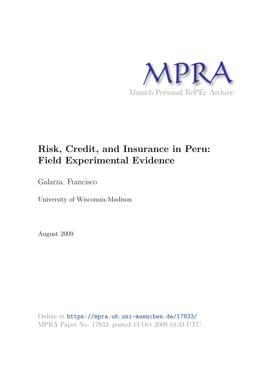

# **Risk, Credit, and Insurance in Peru: Field Experimental Evidence**

Galarza, Francisco

University of Wisconsin-Madison

August 2009

Online at https://mpra.ub.uni-muenchen.de/17833/ MPRA Paper No. 17833, posted 13 Oct 2009 04:33 UTC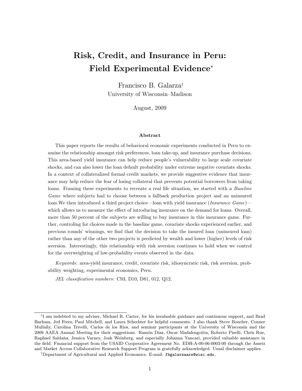# Risk, Credit, and Insurance in Peru: Field Experimental Evidence

Francisco B. Galarza<sup>†</sup> University of Wisconsin-Madison

August, 2009

#### Abstract

This paper reports the results of behavioral economic experiments conducted in Peru to examine the relationship amongst risk preferences, loan take-up, and insurance purchase decisions. This area-based yield insurance can help reduce people's vulnerability to large scale covariate shocks, and can also lower the loan default probability under extreme negative covariate shocks. In a context of collateralized formal credit markets, we provide suggestive evidence that insurance may help reduce the fear of losing collateral that prevents potential borrowers from taking loans. Framing these experiments to recreate a real life situation, we started with a *Baseline* Game where subjects had to choose between a fallback production project and an uninsured loan. We then introduced a third project choice—loan with yield insurance  $(Insurance\ Game)$ which allows us to measure the effect of introducing insurance on the demand for loans. Overall, more than 50 percent of the subjects are willing to buy insurance in this insurance game. Further, controling for choices made in the baseline game, covariate shocks experienced earlier, and previous rounds' winnings, we find that the decision to take the insured loan (uninsured loan) rather than any of the other two projects is predicted by wealth and lower (higher) levels of risk aversion. Interestingly, this relationship with risk aversion continues to hold when we control for the overweighting of low-probability events observed in the data.

Keywords: area-yield insurance, credit, covariate risk, idiosyncratic risk, risk aversion, probability weighting, experimental economics, Peru.

JEL classification numbers: C93, D10, D81, 012, Q12.

I am indebted to my adviser, Michael R. Carter, for his invaluable guidance and continuous support, and Brad Barham, Jed Frees, Paul Mitchell, and Laura Schechter for helpful comments. I also thank Steve Boucher, Conner Mullally, Carolina Trivelli, Carlos de los Rios, and seminar participants at the University of Wisconsin and the 2009 AAEA Annual Meeting for their suggestions. Ramón Díaz, Oscar Madalengoitia, Roberto Piselli, Chris Rue, Raphael Saldana, Jessica Varney, Josh Weinberg, and especially Johanna Yancari, provided valuable assistance in the field. Financial support from the USAID Cooperative Agreement No. EDH-A-00-06-0003-00 through the Assets and Market Access Collaborative Research Support Program is gratefully acknowledged. Usual disclaimer applies.

<sup>&</sup>lt;sup>†</sup>Department of Agricultural and Applied Economics. E-mail: fbgalarzaare@wisc.edu.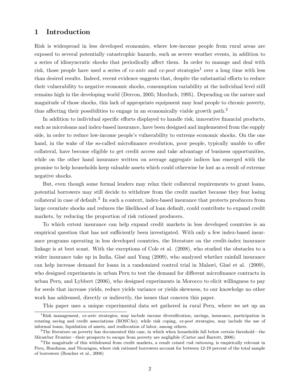## 1 Introduction

Risk is widespread in less developed economies, where low-income people from rural areas are exposed to several potentially catastrophic hazards, such as severe weather events, in addition to a series of idiosyncratic shocks that periodically affect them. In order to manage and deal with risk, those people have used a series of ex-ante and ex-post strategies<sup>1</sup> over a long time with less than desired results. Indeed, recent evidence suggests that, despite the substantial efforts to reduce their vulnerability to negative economic shocks, consumption variability at the individual level still remains high in the developing world (Dercon, 2005; Morduch, 1995). Depending on the nature and magnitude of those shocks, this lack of appropriate equipment may lead people to chronic poverty, thus affecting their possibilities to engage in an economically viable growth path.<sup>2</sup>

In addition to individual specific efforts displayed to handle risk, innovative financial products, such as microloans and index-based insurance, have been designed and implemented from the supply side, in order to reduce low-income people's vulnerability to extreme economic shocks. On the one hand, in the wake of the so-called microfinance revolution, poor people, typically unable to offer collateral, have become eligible to get credit access and take advantage of business opportunities, while on the other hand insurance written on average aggregate indices has emerged with the promise to help households keep valuable assets which could otherwise be lost as a result of extreme negative shocks.

But, even though some formal lenders may relax their collateral requirements to grant loans, potential borrowers may still decide to withdraw from the credit market because they fear losing collateral in case of default.<sup>3</sup> In such a context, index-based insurance that protects producers from large covariate shocks and reduces the likelihood of loan default, could contribute to expand credit markets, by reducing the proportion of risk rationed producers.

To which extent insurance can help expand credit markets in less developed countries is an empirical question that has not sufficiently been investigated. With only a few index-based insurance programs operating in less developed countries, the literature on the credit-index insurance linkage is at best scant. With the exceptions of Cole et al. (2008), who studied the obstacles to a wider insurance take up in India, Giné and Yang (2009), who analyzed whether rainfall insurance can help increase demand for loans in a randomized control trial in Malawi, Gine et al. (2009), who designed experiments in urban Peru to test the demand for different microfinance contracts in urban Peru, and Lybbert (2006), who designed experiments in Morocco to elicit willingness to pay for seeds that increase yields, reduce yields variance or yields skewness, to our knowledge no other work has addressed, directly or indirectly, the issues that concern this paper.

This paper uses a unique experimental data set gathered in rural Peru, where we set up an

 ${}^{1}$ Risk management, ex-ante strategies, may include income diversification, savings, insurance, participation in rotating saving and credit associations (ROSCAs); while risk coping, ex-post strategies, may include the use of informal loans, liquidation of assets, and reallocation of labor, among others.

 $2^2$ The literature on poverty has documented this case, in which when households fall below certain threshold—the Micawber Frontier—their prospects to escape from poverty are negligible (Carter and Barrett, 2006).

<sup>&</sup>lt;sup>3</sup>The magnitude of this withdrawal from credit markets, a result coined risk rationing, is empirically relevant in Peru, Honduras, and Nicaragua, where risk rationed borrowers account for between 12-19 percent of the total sample of borrowers (Boucher et al., 2008)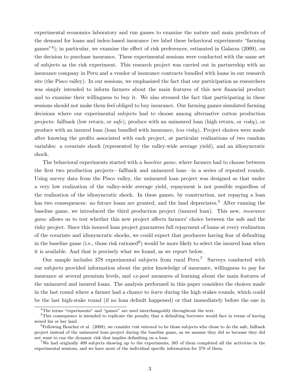experimental economics laboratory and run games to examine the nature and main predictors of the demand for loans and index-based insurance (we label these behavioral experiments \farming games<sup>"4</sup>); in particular, we examine the effect of risk preferences, estimated in Galarza (2009), on the decision to purchase insurance. These experimental sessions were conducted with the same set of subjects as the risk experiment. This research project was carried out in partnership with an insurance company in Peru and a vendor of insurance contracts bundled with loans in our research site (the Pisco valley). In our sessions, we emphasized the fact that our participation as researchers was simply intended to inform farmers about the main features of this new financial product and to examine their willingness to buy it. We also stressed the fact that participating in these sessions should not make them feel obliged to buy insurance. Our farming games simulated farming decisions where our experimental subjects had to choose among alternative cotton production projects: fallback (low return, or safe), produce with an uninsured loan (high return, or risky), or produce with an insured loan (loan bundled with insurance, less risky). Project choices were made after knowing the prots associated with each project, at particular realizations of two random variables: a covariate shock (represented by the valley-wide average yield), and an idiosyncratic shock.

The behavioral experiments started with a *baseline game*, where farmers had to choose between the first two production projects—fallback and uninsured loan—in a series of repeated rounds. Using survey data from the Pisco valley, the uninsured loan project was designed so that under a very low realization of the valley-wide average yield, repayment is not possible regardless of the realization of the idiosyncratic shock. In these games, by construction, not repaying a loan has two consequences: no future loans are granted, and the land depreciates.<sup>5</sup> After running the baseline game, we introduced the third production project (insured loan). This new, insurance game allows us to test whether this new project affects farmers' choice between the safe and the risky project. Since this insured loan project guarantees full repayment of loans at every realization of the covariate and idiosyncratic shocks, we could expect that producers having fear of defaulting in the baseline game (i.e., those risk rationed<sup>6</sup>) would be more likely to select the insured loan when it is available. And that is precisely what we found, as we report below.

Our sample includes 378 experimental subjects from rural Peru.<sup>7</sup> Surveys conducted with our subjects provided information about the prior knowledge of insurance, willingness to pay for insurance at several premium levels, and ex-post measures of learning about the main features of the uninsured and insured loans. The analysis performed in this paper considers the choices made in the last round where a farmer had a chance to learn during the high stakes rounds, which could be the last high-stake round (if no loan default happened) or that immediately before the one in

 $\rm{^{4}The~terms}$  "experiments" and "games" are used interchangeably throughtout the text.

<sup>&</sup>lt;sup>5</sup>This consequence is intended to replicate the penalty that a defaulting borrower would face in terms of having seized his or her land.

<sup>&</sup>lt;sup>6</sup>Following Boucher et al. (2008), we consider risk rationed to be those subjects who chose to do the safe, fallback project instead of the uninsured loan project during the baseline game, as we assume they did so because they did not want to run the dynamic risk that implies defaulting on a loan.

<sup>&</sup>lt;sup>7</sup>We had originally 409 subjects showing up to the experiments, 385 of them completed all the activities in the experimental sessions, and we have most of the individual specic information for 378 of them.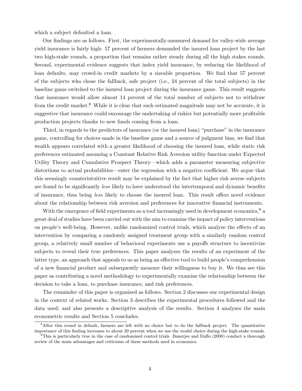which a subject defaulted a loan.

Our findings are as follows. First, the experimentally-measured demand for valley-wide average yield insurance is fairly high: 57 percent of farmers demanded the insured loan project by the last two high-stake rounds, a proportion that remains rather steady during all the high stakes rounds. Second, experimental evidence suggests that index yield insurance, by reducing the likelihood of loan defaults, may crowd-in credit markets by a sizeable proportion. We find that 57 percent of the subjects who chose the fallback, safe project (i.e., 24 percent of the total subjects) in the baseline game switched to the insured loan project during the insurance game. This result suggests that insurance would allow almost 14 percent of the total number of subjects not to withdraw from the credit market.<sup>8</sup> While it is clear that such estimated magnitude may not be accurate, it is suggestive that insurance could encourage the undertaking of riskier but potentially more profitable production projects thanks to new funds coming from a loan.

Third, in regards to the predictors of insurance (or the insured loan) \purchase" in the insurance game, controlling for choices made in the baseline game and a source of judgment bias, we find that wealth appears correlated with a greater likelihood of choosing the insured loan, while static risk preferences estimated assuming a Constant Relative Risk Aversion utility function under Expected Utility Theory and Cumulative Prospect Theory—which adds a parameter measuring subjective distortions to actual probabilities—enter the regression with a negative coefficient. We argue that this seemingly counterintuitive result may be explained by the fact that higher risk averse subjects are found to be significantly less likely to have understood the intertemporal and dynamic benefits of insurance, thus being less likely to choose the insured loan. This result offers novel evidence about the relationship between risk aversion and preferences for innovative financial instruments.

With the emergence of field experiments as a tool increasingly used in development economics,  $9\ a$ great deal of studies have been carried out with the aim to examine the impact of policy interventions on people's well-being. However, unlike randomized control trials, which analyze the effects of an intervention by comparing a randomly assigned treatment group with a similarly random control group, a relatively small number of behavioral experiments use a payoffs structure to incentivize subjects to reveal their true preferences. This paper analyzes the results of an experiment of the latter type, an approach that appeals to us as being an effective tool to build people's comprehension of a new financial product and subsequently measure their willingness to buy it. We thus see this paper as contributing a novel methodology to experimentally examine the relationship between the decision to take a loan, to purchase insurance, and risk preferences.

The remainder of this paper is organized as follows. Section 2 discusses our experimental design in the context of related works. Section 3 describes the experimental procedures followed and the data used; and also presents a descriptive analysis of the results. Section 4 analyzes the main econometric results and Section 5 concludes.

<sup>&</sup>lt;sup>8</sup>After this round in default, farmers are left with no choice but to do the fallback project. The quantitative importance of this finding increases to about 20 percent when we use the modal choice during the high-stake rounds.

<sup>&</sup>lt;sup>9</sup>This is particularly true in the case of randomized control trials. Banerjee and Duflo (2008) conduct a thorough review of the main advantages and criticisms of these methods used in economics.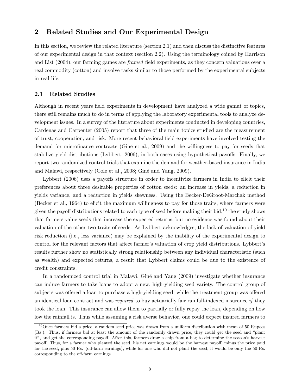## 2 Related Studies and Our Experimental Design

In this section, we review the related literature (section 2.1) and then discuss the distinctive features of our experimental design in that context (section 2.2). Using the terminology coined by Harrison and List  $(2004)$ , our farming games are *framed* field experiments, as they concern valuations over a real commodity (cotton) and involve tasks similar to those performed by the experimental subjects in real life.

#### 2.1 Related Studies

Although in recent years field experiments in development have analyzed a wide gamut of topics, there still remains much to do in terms of applying the laboratory experimental tools to analyze development issues. In a survey of the literature about experiments conducted in developing countries, Cardenas and Carpenter (2005) report that three of the main topics studied are the measurement of trust, cooperation, and risk. More recent behavioral field experiments have involved testing the demand for microfinance contracts (Gine et al., 2009) and the willingness to pay for seeds that stabilize yield distributions (Lybbert, 2006), in both cases using hypothetical payoffs. Finally, we report two randomized control trials that examine the demand for weather-based insurance in India and Malawi, respectively (Cole et al., 2008; Gine and Yang, 2009).

Lybbert (2006) uses a payoffs structure in order to incentivize farmers in India to elicit their preferences about three desirable properties of cotton seeds: an increase in yields, a reduction in yields variance, and a reduction in yields skewness. Using the Becker-DeGroot-Marchak method (Becker et al., 1964) to elicit the maximum willingness to pay for those traits, where farmers were given the payoff distributions related to each type of seed before making their bid,<sup>10</sup> the study shows that farmers value seeds that increase the expected returns, but no evidence was found about their valuation of the other two traits of seeds. As Lybbert acknowledges, the lack of valuation of yield risk reduction (i.e., less variance) may be explained by the inability of the experimental design to control for the relevant factors that affect farmer's valuation of crop yield distributions. Lybbert's results further show no statistically strong relationship between any individual characteristic (such as wealth) and expected returns, a result that Lybbert claims could be due to the existence of credit constraints.

In a randomized control trial in Malawi, Gine and Yang (2009) investigate whether insurance can induce farmers to take loans to adopt a new, high-yielding seed variety. The control group of subjects was offered a loan to purchase a high-yielding seed; while the treatment group was offered an identical loan contract and was required to buy actuarially fair rainfall-indexed insurance if they took the loan. This insurance can allow them to partially or fully repay the loan, depending on how low the rainfall is. Thus while assuming a risk averse behavior, one could expect insured farmers to

 $10$ Once farmers bid a price, a random seed price was drawn from a uniform distribution with mean of 50 Rupees (Rs.). Thus, if farmers bid at least the amount of the randomly drawn price, they could get the seed and \plant it", and get the corresponding payoff. After this, farmers draw a chip from a bag to determine the season's harvest payoff. Thus, for a farmer who planted the seed, his net earnings would be the harvest payoff, minus the price paid for the seed, plus 50 Rs. (off-farm earnings), while for one who did not plant the seed, it would be only the 50 Rs. corresponding to the off-farm earnings.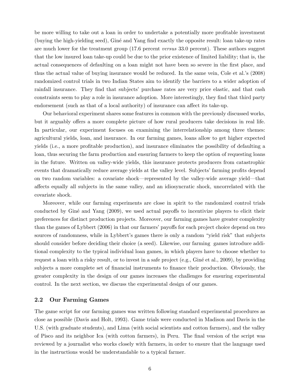be more willing to take out a loan in order to undertake a potentially more profitable investment (buying the high-yielding seed), Gine and Yang find exactly the opposite result: loan take-up rates are much lower for the treatment group (17.6 percent versus 33.0 percent). These authors suggest that the low insured loan take-up could be due to the prior existence of limited liability; that is, the actual consequences of defaulting on a loan might not have been so severe in the first place, and thus the actual value of buying insurance would be reduced. In the same vein, Cole et al.'s (2008) randomized control trials in two Indian States aim to identify the barriers to a wider adoption of rainfall insurance. They find that subjects' purchase rates are very price elastic, and that cash constraints seem to play a role in insurance adoption. More interestingly, they find that third party endorsement (such as that of a local authority) of insurance can affect its take-up.

Our behavioral experiment shares some features in common with the previously discussed works, but it arguably offers a more complete picture of how rural producers take decisions in real life. In particular, our experiment focuses on examining the interrelationship among three themes: agricultural yields, loan, and insurance. In our farming games, loans allow to get higher expected yields (i.e., a more protable production), and insurance eliminates the possibility of defaulting a loan, thus securing the farm production and ensuring farmers to keep the option of requesting loans in the future. Written on valley-wide yields, this insurance protects producers from catastrophic events that dramatically reduce average yields at the valley level. Subjects' farming profits depend on two random variables: a covariate shock—represented by the valley-wide average yield—that affects equally all subjects in the same valley, and an idiosyncratic shock, uncorrelated with the covariate shock.

Moreover, while our farming experiments are close in spirit to the randomized control trials conducted by Giné and Yang (2009), we used actual payoffs to incentivize players to elicit their preferences for distinct production projects. Moreover, our farming games have greater complexity than the games of Lybbert (2006) in that our farmers' payoffs for each project choice depend on two sources of randomness, while in Lybbert's games there is only a random "yield risk" that subjects should consider before deciding their choice (a seed). Likewise, our farming games introduce additional complexity to the typical individual loan games, in which players have to choose whether to request a loan with a risky result, or to invest in a safe project (e.g., Gine et al., 2009), by providing subjects a more complete set of financial instruments to finance their production. Obviously, the greater complexity in the design of our games increases the challenges for ensuring experimental control. In the next section, we discuss the experimental design of our games.

#### 2.2 Our Farming Games

The game script for our farming games was written following standard experimental procedures as close as possible (Davis and Holt, 1993). Game trials were conducted in Madison and Davis in the U.S. (with graduate students), and Lima (with social scientists and cotton farmers), and the valley of Pisco and its neighbor Ica (with cotton farmers), in Peru. The final version of the script was reviewed by a journalist who works closely with farmers, in order to ensure that the language used in the instructions would be understandable to a typical farmer.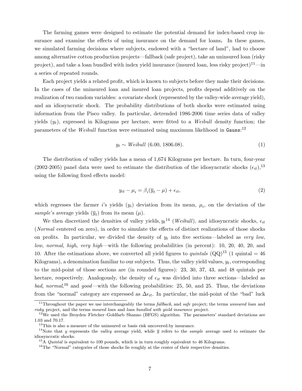The farming games were designed to estimate the potential demand for index-based crop insurance and examine the effects of using insurance on the demand for loans. In these games, we simulated farming decisions where subjects, endowed with a "hectare of land", had to choose among alternative cotton production projects—fallback (safe project), take an uninsured loan (risky project), and take a loan bundled with index yield insurance (insured loan, less risky project)<sup>11</sup>—in a series of repeated rounds.

Each project yields a related profit, which is known to subjects before they make their decisions. In the cases of the uninsured loan and insured loan projects, profits depend additively on the realization of two random variables: a covariate shock (represented by the valley-wide average yield), and an idiosyncratic shock. The probability distributions of both shocks were estimated using information from the Pisco valley. In particular, detrended 1986-2006 time series data of valley yields  $(y_t)$ , expressed in Kilograms per hectare, were fitted to a Weibull density function; the parameters of the *Weibull* function were estimated using maximum likelihood in Gauss:<sup>12</sup>

$$
y_t \sim Weibull \t(6.00, 1806.08). \t(1)
$$

The distribution of valley yields has a mean of 1,674 Kilograms per hectare. In turn, four-year (2002-2005) panel data were used to estimate the distribution of the idiosyncratic shocks  $(\epsilon_{it})$ ,<sup>13</sup> using the following fixed effects model:

$$
y_{it} - \mu_i = \beta_i(\overline{y}_t - \mu) + \epsilon_{it},\tag{2}
$$

which regresses the farmer i's yields  $(y_i)$  deviation from its mean,  $\mu_i$ , on the deviation of the sample's average yields  $(\overline{y}_t)$  from its mean  $(\mu)$ .

We then discretized the densities of valley yields,  $y_t^{14}$  (*Weibull*), and idiosyncratic shocks,  $\epsilon_{it}$ (Normal centered on zero), in order to simulate the effects of distinct realizations of those shocks on profits. In particular, we divided the density of  $y_t$  into five sections—labeled as very low, low, normal, high, very high—with the following probabilities (in percent): 10, 20, 40, 20, and 10. After the estimations above, we converted all yield figures to *quintals*  $(QQ)^{15}$  (1 quintal = 46) Kilograms), a denomination familiar to our subjects. Thus, the valley yield values,  $y_t$ , corresponding to the mid-point of those sections are (in rounded gures): 23, 30, 37, 43, and 48 quintals per hectare, respectively. Analogously, the density of  $\epsilon_{it}$  was divided into three sections—labeled as bad, normal,<sup>16</sup> and good—with the following probabilities: 25, 50, and 25. Thus, the deviations from the "normal" category are expressed as  $\Delta \epsilon_{it}$ . In particular, the mid-point of the "bad" luck

<sup>&</sup>lt;sup>11</sup>Throughout the paper we use interchangeably the terms *fallback*, and *safe* project; the terms *unisured loan* and risky project, and the terms insured loan and loan bundled with yield insurance project.

 $12$ We used the Broyden-Fletcher-Goldfarb-Shanno (BFGS) algorithm. The parameters' standard deviations are 1.03 and 70.17.

 $13$ This is also a measure of the uninsured or basis risk uncovered.by insurance.

<sup>&</sup>lt;sup>14</sup>Note that y represents the valley average yield, while  $\bar{y}$  refers to the *sample* average used to estimate the idiosyncratic shocks.

 $15A$  *Quintal* is equivalent to 100 pounds, which is in turn roughly equivalent to 46 Kilograms.

 $16$ The "Normal" categories of those shocks lie roughly at the center of their respective densities.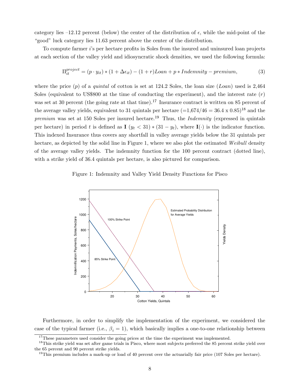category lies  $-12.12$  percent (below) the center of the distribution of  $\epsilon$ , while the mid-point of the "good" luck category lies 11.63 percent above the center of the distribution.

To compute farmer i's per hectare prots in Soles from the insured and uninsured loan projects at each section of the valley yield and idiosyncratic shock densities, we used the following formula:

$$
\Pi_{it}^{project} = (p \cdot y_{it}) * (1 + \Delta \epsilon_{it}) - (1 + r) Loan + p * Indemnity - premium,
$$
\n(3)

where the price  $(p)$  of a *quintal* of cotton is set at 124.2 Soles, the loan size  $(Loan)$  used is 2,464 Soles (equivalent to US\$800 at the time of conducting the experiment), and the interest rate  $(r)$ was set at 30 percent (the going rate at that time).<sup>17</sup> Insurance contract is written on 85 percent of the average valley yields, equivalent to 31 quintals per hectare  $(=1.674/46 = 36.4 \times 0.85)^{18}$  and the premium was set at 150 Soles per insured hectare.<sup>19</sup> Thus, the *Indemnity* (expressed in quintals per hectare) in period t is defined as  $\mathbf{I}$   $(y_t < 31) * (31 - y_t)$ , where  $\mathbf{I}(\cdot)$  is the indicator function. This indexed Insurance thus covers any shortfall in valley average yields below the 31 quintals per hectare, as depicted by the solid line in Figure 1, where we also plot the estimated Weibull density of the average valley yields. The indemnity function for the 100 percent contract (dotted line), with a strike yield of 36.4 quintals per hectare, is also pictured for comparison.

Figure 1: Indemnity and Valley Yield Density Functions for Pisco



Furthermore, in order to simplify the implementation of the experiment, we considered the case of the typical farmer (i.e.,  $\beta_i = 1$ ), which basically implies a one-to-one relationship between

<sup>&</sup>lt;sup>17</sup>These parameters used consider the going prices at the time the experiment was implemented.

 $18$ This strike yield was set after game trials in Pisco, where most subjects preferred the 85 percent strike yield over the 65 percent and 90 percent strike yields.

 $19$ This premium includes a mark-up or load of 40 percent over the actuarially fair price (107 Soles per hectare).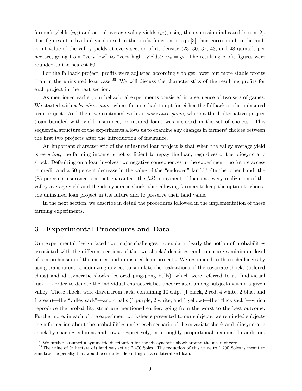farmer's yields  $(y_{it})$  and actual average valley yields  $(y_t)$ , using the expression indicated in eqn.[2]. The figures of individual yields used in the profit function in eqn. [3] then correspond to the midpoint value of the valley yields at every section of its density (23, 30, 37, 43, and 48 quintals per hectare, going from "very low" to "very high" yields):  $y_{it} = y_t$ . The resulting profit figures were rounded to the nearest 50.

For the fallback project, profits were adjusted accordingly to get lower but more stable profits than in the uninsured loan case.<sup>20</sup> We will discuss the characteristics of the resulting profits for each project in the next section.

As mentioned earlier, our behavioral experiments consisted in a sequence of two sets of games. We started with a *baseline game*, where farmers had to opt for either the fallback or the uninsured loan project. And then, we continued with an *insurance game*, where a third alternative project (loan bundled with yield insurance, or insured loan) was included in the set of choices. This sequential structure of the experiments allows us to examine any changes in farmers' choices between the first two projects after the introduction of insurance.

An important characteristic of the uninsured loan project is that when the valley average yield is very low, the farming income is not sufficient to repay the loan, regardless of the idiosyncratic shock. Defaulting on a loan involves two negative consequences in the experiment: no future access to credit and a 50 percent decrease in the value of the "endowed" land.<sup>21</sup> On the other hand, the (85 percent) insurance contract guarantees the full repayment of loans at every realization of the valley average yield and the idiosyncratic shock, thus allowing farmers to keep the option to choose the uninsured loan project in the future and to preserve their land value.

In the next section, we describe in detail the procedures followed in the implementation of these farming experiments.

### 3 Experimental Procedures and Data

Our experimental design faced two major challenges: to explain clearly the notion of probabilities associated with the different sections of the two shocks' densities, and to ensure a minimum level of comprehension of the insured and uninsured loan projects. We responded to those challenges by using transparent randomizing devices to simulate the realizations of the covariate shocks (colored chips) and idiosyncratic shocks (colored ping-pong balls), which were referred to as \individual luck" in order to denote the individual characteristics uncorrelated among subjects within a given valley. These shocks were drawn from sacks containing 10 chips (1 black, 2 red, 4 white, 2 blue, and 1 green)—the "valley sack"—and 4 balls (1 purple, 2 white, and 1 yellow)—the "luck sack"—which reproduce the probability structure mentioned earlier, going from the worst to the best outcome. Furthermore, in each of the experiment worksheets presented to our subjects, we reminded subjects the information about the probabilities under each scenario of the covariate shock and idiosyncratic shock by spacing columns and rows, respectively, in a roughly proportional manner. In addition,

 $^{20}$ We further assumed a symmetric distribution for the idiosyncratic shock around the mean of zero.

<sup>&</sup>lt;sup>21</sup>The value of (a hectare of) land was set at 2,400 Soles. The reduction of this value to 1,200 Soles is meant to simulate the penalty that would occur after defaulting on a collateralized loan.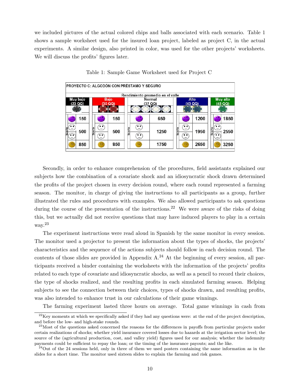we included pictures of the actual colored chips and balls associated with each scenario. Table 1 shows a sample worksheet used for the insured loan project, labeled as project C, in the actual experiments. A similar design, also printed in color, was used for the other projects' worksheets. We will discuss the profits' figures later.



Table 1: Sample Game Worksheet used for Project C

Secondly, in order to enhance comprehension of the procedures, field assistants explained our subjects how the combination of a covariate shock and an idiosyncratic shock drawn determined the profits of the project chosen in every decision round, where each round represented a farming season. The monitor, in charge of giving the instructions to all participants as a group, further illustrated the rules and procedures with examples. We also allowed participants to ask questions during the course of the presentation of the instructions.<sup>22</sup> We were aware of the risks of doing this, but we actually did not receive questions that may have induced players to play in a certain way.<sup>23</sup>

The experiment instructions were read aloud in Spanish by the same monitor in every session. The monitor used a projector to present the information about the types of shocks, the projects' characteristics and the sequence of the actions subjects should follow in each decision round. The contents of those slides are provided in Appendix A.<sup>24</sup> At the beginning of every session, all participants received a binder containing the worksheets with the information of the projects' profits related to each type of covariate and idiosyncratic shocks, as well as a pencil to record their choices, the type of shocks realized, and the resulting profits in each simulated farming season. Helping subjects to see the connection between their choices, types of shocks drawn, and resulting profits, was also intended to enhance trust in our calculations of their game winnings.

The farming experiment lasted three hours on average. Total game winnings in cash from

 $^{22}$ Key moments at which we specifically asked if they had any questions were: at the end of the project description, and before the low- and high-stake rounds.

<sup>&</sup>lt;sup>23</sup>Most of the questions asked concerned the reasons for the differences in payoffs from particular projects under certain realizations of shocks; whether yield insurance covered losses due to hazards at the irrigation sector level; the source of the (agricultural production, cost, and valley yield) figures used for our analysis; whether the indemnity payments could be sufficient to repay the loan; or the timing of the insurance payouts; and the like.

 $^{24}$ Out of the 24 sessions held, only in three of them we used posters containing the same information as in the slides for a short time. The monitor used sixteen slides to explain the farming and risk games.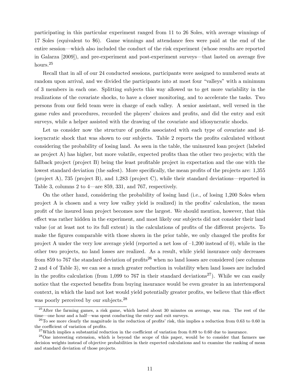participating in this particular experiment ranged from 11 to 26 Soles, with average winnings of 17 Soles (equivalent to \$6). Game winnings and attendance fees were paid at the end of the entire session—which also included the conduct of the risk experiment (whose results are reported in Galarza  $[2009]$ , and pre-experiment and post-experiment surveys—that lasted on average five hours.<sup>25</sup>

Recall that in all of our 24 conducted sessions, participants were assigned to numbered seats at random upon arrival, and we divided the participants into at most four "valleys" with a minimum of 3 members in each one. Splitting subjects this way allowed us to get more variability in the realizations of the covariate shocks, to have a closer monitoring, and to accelerate the tasks. Two persons from our field team were in charge of each valley. A senior assistant, well versed in the game rules and procedures, recorded the players' choices and prots, and did the entry and exit surveys, while a helper assisted with the drawing of the covariate and idiosyncratic shocks.

Let us consider now the structure of profits associated with each type of covariate and idiosyncratic shock that was shown to our subjects. Table 2 reports the profits calculated without considering the probability of losing land. As seen in the table, the uninsured loan project (labeled as project A) has higher, but more volatile, expected profits than the other two projects; with the fallback project (project B) being the least profitable project in expectation and the one with the lowest standard deviation (the safest). More specifically, the mean profits of the projects are: 1,355 (project A), 735 (project B), and 1,283 (project C), while their standard deviations—reported in Table 3, columns 2 to  $4$ —are 859, 331, and 767, respectively.

On the other hand, considering the probability of losing land (i.e., of losing 1,200 Soles when project A is chosen and a very low valley yield is realized) in the profits' calculation, the mean prot of the insured loan project becomes now the largest. We should mention, however, that this effect was rather hidden in the experiment, and most likely our subjects did not consider their land value (or at least not to its full extent) in the calculations of profits of the different projects. To make the figures comparable with those shown in the prior table, we only changed the profits for project A under the very low average yield (reported a net loss of  $-1,200$  instead of 0), while in the other two projects, no land losses are realized. As a result, while yield insurance only decreases from 859 to 767 the standard deviation of profits<sup>26</sup> when no land losses are considered (see columns 2 and 4 of Table 3), we can see a much greater reduction in volatility when land losses are included in the profits calculation (from 1,099 to 767 in their standard deviations<sup>27</sup>). While we can easily notice that the expected benefits from buying insurance would be even greater in an intertemporal context, in which the land not lost would yield potentially greater profits, we believe that this effect was poorly perceived by our subjects.<sup>28</sup>

 $25$ After the farming games, a risk game, which lasted about 30 minutes on average, was run. The rest of the time—one hour and a half—was spent conducting the entry and exit surveys.

<sup>&</sup>lt;sup>26</sup>To see more clearly the magnitude in the reduction of profits' risk, this implies a reduction from 0.63 to 0.60 in the coefficient of variation of profits.

 $^{27}$ Which implies a substantial reduction in the coefficient of variation from 0.89 to 0.60 due to insurance.

<sup>&</sup>lt;sup>28</sup>One interesting extension, which is beyond the scope of this paper, would be to consider that farmers use decision weights instead of objective probabilities in their expected calculations and to examine the ranking of mean and standard deviation of those projects.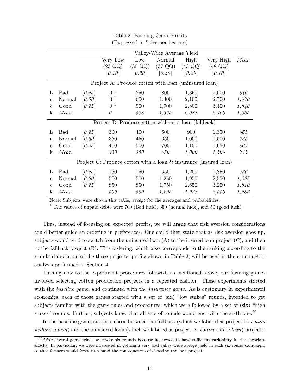|              |            | Valley-Wide Average Yield |                                                      |                   |                   |                   |                                                                  |       |  |  |  |  |
|--------------|------------|---------------------------|------------------------------------------------------|-------------------|-------------------|-------------------|------------------------------------------------------------------|-------|--|--|--|--|
|              |            |                           | Very Low                                             | Low               | Normal            | High              | Very High                                                        | Mean  |  |  |  |  |
|              |            |                           | $(23 \text{ QQ})$                                    | $(30 \text{ QQ})$ | $(37 \text{ QQ})$ | $(43 \text{ QQ})$ | $(48 \text{ QQ})$                                                |       |  |  |  |  |
|              |            |                           | [0.10]                                               | [0.20]            | [0.40]            | [0.20]            | [0.10]                                                           |       |  |  |  |  |
|              |            |                           | Project A: Produce cotton with loan (uninsured loan) |                   |                   |                   |                                                                  |       |  |  |  |  |
| L            | <b>Bad</b> | [0.25]                    | 0 <sup>1</sup>                                       | 250               | 800               | 1,350             | 2,000                                                            | 840   |  |  |  |  |
| <sub>u</sub> | Normal     | [0.50]                    | 0 <sup>1</sup>                                       | 600               | 1,400             | 2,100             | 2,700                                                            | 1,370 |  |  |  |  |
| $\mathbf{c}$ | Good       | [0.25]                    | 0 <sup>1</sup>                                       | 900               | 1,900             | 2,800             | 3,400                                                            | 1,840 |  |  |  |  |
| $\mathbf k$  | Mean       |                           | $\theta$                                             | 588               | 1,375             | 2,088             | 2,700                                                            | 1,355 |  |  |  |  |
|              |            |                           | Project B: Produce cotton without a loan (fallback)  |                   |                   |                   |                                                                  |       |  |  |  |  |
| L            | <b>Bad</b> | [0.25]                    | 300                                                  | 400               | 600               | 900               | 1,350                                                            | 665   |  |  |  |  |
| <sub>u</sub> | Normal     | [0.50]                    | 350                                                  | 450               | 650               | 1,000             | 1,500                                                            | 735   |  |  |  |  |
| $\mathbf c$  | Good       | [0.25]                    | 400                                                  | 500               | 700               | 1,100             | 1,650                                                            | 805   |  |  |  |  |
| $\mathbf k$  | Mean       |                           | 350                                                  | $\sqrt{450}$      | 650               | 1,000             | 1,500                                                            | 735   |  |  |  |  |
|              |            |                           |                                                      |                   |                   |                   | Project C: Produce cotton with a loan & insurance (insured loan) |       |  |  |  |  |
| L            | <b>Bad</b> | [0.25]                    | 150                                                  | 150               | 650               | 1,200             | 1,850                                                            | 730   |  |  |  |  |
| <sub>u</sub> | Normal     | [0.50]                    | 500                                                  | 500               | 1,250             | 1,950             | 2,550                                                            | 1,295 |  |  |  |  |
| $\mathbf{c}$ | Good       | [0.25]                    | 850                                                  | 850               | 1,750             | 2,650             | 3,250                                                            | 1,810 |  |  |  |  |
| $\mathbf k$  | Mean       |                           | 500                                                  | 500               | 1,225             | 1,938             | 2,550                                                            | 1,283 |  |  |  |  |

Table 2: Farming Game Profits (Expressed in Soles per hectare)

Note: Subjects were shown this table, except for the averages and probabilities.

<sup>1</sup> The values of unpaid debts were 700 (Bad luck), 350 (normal luck), and 50 (good luck).

Thus, instead of focusing on expected profits, we will argue that risk aversion considerations could better guide an ordering in preferences. One could then state that as risk aversion goes up, subjects would tend to switch from the uninsured loan  $(A)$  to the insured loan project  $(C)$ , and then to the fallback project (B). This ordering, which also corresponds to the ranking according to the standard deviation of the three projects' profits shown in Table 3, will be used in the econometric analysis performed in Section 4.

Turning now to the experiment procedures followed, as mentioned above, our farming games involved selecting cotton production projects in a repeated fashion. These experiments started with the *baseline game*, and continued with the *insurance game*. As is customary in experimental economics, each of those games started with a set of (six) "low stakes" rounds, intended to get subjects familiar with the game rules and procedures, which were followed by a set of  $(six)$  "high stakes" rounds. Further, subjects knew that all sets of rounds would end with the sixth one.<sup>29</sup>

In the baseline game, subjects chose between the fallback (which we labeled as project B: cotton without a loan) and the uninsured loan (which we labeled as project A: *cotton with a loan*) projects.

 $^{29}$ After several game trials, we chose six rounds because it showed to have sufficient variability in the covariate shocks. In particular, we were interested in getting a very bad valley-wide averge yield in each six-round campaign, so that farmers would *learn* first hand the consequences of choosing the loan project.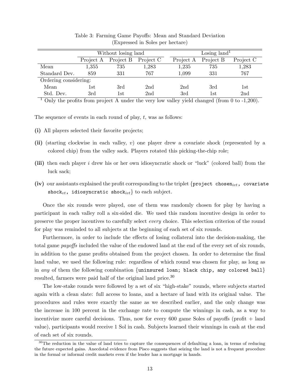|                       |                | Without losing land |                 | Losing land <sup>1</sup> |                |                 |  |  |  |  |
|-----------------------|----------------|---------------------|-----------------|--------------------------|----------------|-----------------|--|--|--|--|
|                       | Project A      | Project B           | Project C       | Project A                | Project B      | Project C       |  |  |  |  |
| Mean                  | 1,355          | 735                 | 1,283           | 1,235                    | 735            | 1,283           |  |  |  |  |
| Standard Dev.         | 859            | 331                 | 767             | 1,099                    | 331            | 767             |  |  |  |  |
| Ordering considering: |                |                     |                 |                          |                |                 |  |  |  |  |
| Mean                  | $1\mathrm{st}$ | 3rd                 | 2 <sub>nd</sub> | 2nd                      | 3rd            | 1st             |  |  |  |  |
| Std. Dev.             | 3rd            | $1\mathrm{st}$      | 2 <sub>nd</sub> | 3rd                      | $1\mathrm{st}$ | 2 <sub>nd</sub> |  |  |  |  |

Table 3: Farming Game Payoffs: Mean and Standard Deviation (Expressed in Soles per hectare)

<sup>1</sup> Only the profits from project A under the very low valley yield changed (from 0 to  $-1,200$ ).

The sequence of events in each round of play, t, was as follows:

- (i) All players selected their favorite projects;
- (ii) (starting clockwise in each valley, v) one player drew a covariate shock (represented by a colored chip) from the valley sack. Players rotated this picking-the-chip role;
- (iii) then each player i drew his or her own idiosyncratic shock or "luck" (colored ball) from the luck sack;
- (iv) our assistants explained the profit corresponding to the triplet  $\{ \text{project} \; chosen_{ivt}, \; covariance$ shock<sub>vt</sub>, idiosyncratic shock<sub>ivt</sub>} to each subject.

Once the six rounds were played, one of them was randomly chosen for play by having a participant in each valley roll a six-sided die. We used this random incentive design in order to preserve the proper incentives to carefully select every choice. This selection criterion of the round for play was reminded to all subjects at the beginning of each set of six rounds.

Furthermore, in order to include the effects of losing collateral into the decision-making, the total game *payoffs* included the value of the endowed land at the end of the every set of six rounds, in addition to the game profits obtained from the project chosen. In order to determine the final land value, we used the following rule: regardless of which round was chosen for play, as long as in any of them the following combination {uninsured loan; black chip, any colored ball} resulted, farmers were paid half of the original land price.<sup>30</sup>

The low-stake rounds were followed by a set of six "high-stake" rounds, where subjects started again with a clean slate: full access to loans, and a hectare of land with its original value. The procedures and rules were exactly the same as we described earlier, and the only change was the increase in 100 percent in the exchange rate to compute the winnings in cash, as a way to incentivize more careful decisions. Thus, now for every  $600$  game Soles of payoffs (profit  $+$  land value), participants would receive 1 Sol in cash. Subjects learned their winnings in cash at the end of each set of six rounds.

<sup>&</sup>lt;sup>30</sup>The reduction in the value of land tries to capture the consequences of defaulting a loan, in terms of reducing the future expected gains. Anecdotal evidence from Pisco suggests that seizing the land is not a frequent procedure in the formal or informal credit markets even if the lender has a mortgage in hands.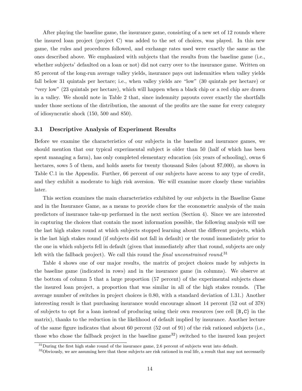After playing the baseline game, the insurance game, consisting of a new set of 12 rounds where the insured loan project (project C) was added to the set of choices, was played. In this new game, the rules and procedures followed, and exchange rates used were exactly the same as the ones described above. We emphasized with subjects that the results from the baseline game (i.e., whether subjects' defaulted on a loan or not) did not carry over to the insurance game. Written on 85 percent of the long-run average valley yields, insurance pays out indemnities when valley yields fall below 31 quintals per hectare; i.e., when valley yields are "low" (30 quintals per hectare) or "very low" (23 quintals per hectare), which will happen when a black chip or a red chip are drawn in a valley. We should note in Table 2 that, since indemnity payouts cover exactly the shortfalls under those sections of the distribution, the amount of the profits are the same for every category of idiosyncratic shock (150, 500 and 850).

#### 3.1 Descriptive Analysis of Experiment Results

Before we examine the characteristics of our subjects in the baseline and insurance games, we should mention that our typical experimental subject is older than 50 (half of which has been spent managing a farm), has only completed elementary education (six years of schooling), owns 6 hectares, sows 5 of them, and holds assets for twenty thousand Soles (about \$7,000), as shown in Table C.1 in the Appendix. Further, 66 percent of our subjects have access to any type of credit, and they exhibit a moderate to high risk aversion. We will examine more closely these variables later.

This section examines the main characteristics exhibited by our subjects in the Baseline Game and in the Insurance Game, as a means to provide clues for the econometric analysis of the main predictors of insurance take-up performed in the next section (Section 4). Since we are interested in capturing the choices that contain the most information possible, the following analysis will use the last high stakes round at which subjects stopped learning about the different projects, which is the last high stakes round (if subjects did not fall in default) or the round immediately prior to the one in which subjects fell in default (given that immediately after that round, subjects are only left with the fallback project). We call this round the final unconstrained round.<sup>31</sup>

Table 4 shows one of our major results, the matrix of project choices made by subjects in the baseline game (indicated in rows) and in the insurance game (in columns). We observe at the bottom of column 5 that a large proportion (57 percent) of the experimental subjects chose the insured loan project, a proportion that was similar in all of the high stakes rounds. (The average number of switches in project choices is 0.80, with a standard deviation of 1.31.) Another interesting result is that purchasing insurance would encourage almost 14 percent (52 out of 378) of subjects to opt for a loan instead of producing using their own resources (see cell  $\{B, C\}$  in the matrix), thanks to the reduction in the likelihood of default implied by insurance. Another lecture of the same figure indicates that about 60 percent  $(52 \text{ out of } 91)$  of the risk rationed subjects (i.e., those who chose the fallback project in the baseline game<sup>32</sup>) switched to the insured loan project

 $31$ During the first high stake round of the insurance game, 2.6 percent of subjects went into default.

 $32$ Obviously, we are assuming here that these subjects are risk rationed in real life, a result that may not necessarily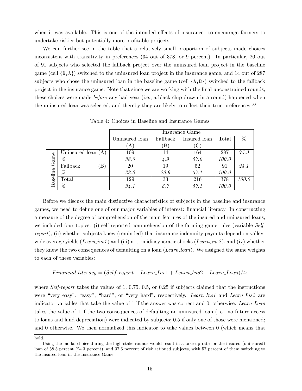when it was available. This is one of the intended effects of insurance: to encourage farmers to undertake riskier but potentially more profitable projects.

We can further see in the table that a relatively small proportion of subjects made choices inconsistent with transitivity in preferences (34 out of 378, or 9 percent). In particular, 20 out of 91 subjects who selected the fallback project over the uninsured loan project in the baseline game (cell  $\{B, A\}$ ) switched to the uninsured loan project in the insurance game, and 14 out of 287 subjects who chose the uninsured loan in the baseline game (cell  $\{A, B\}$ ) switched to the fallback project in the insurance game. Note that since we are working with the final unconstrained rounds, these choices were made *before* any bad year (i.e., a black chip drawn in a round) happened when the uninsured loan was selected, and thereby they are likely to reflect their true preferences.<sup>33</sup>

|          |                               |                |              | Insurance Game |       |       |
|----------|-------------------------------|----------------|--------------|----------------|-------|-------|
|          |                               | Uninsured loan | Fallback     | Insured loan   | Total | %     |
|          |                               | $\bf{A}$       | $\mathbf{B}$ | C              |       |       |
|          | Uninsured loan $(A)$          | 109            | 14           | 164            | 287   | 75.9  |
| Game     | %                             | 38.0           | $\angle 4.9$ | 57.0           | 100.0 |       |
|          | Fallback<br>$\vert B \rangle$ | 20             | 19           | 52             | 91    | 24.1  |
| Baseline | %                             | 22.0           | 20.9         | 57.1           | 100.0 |       |
|          | Total                         | 129            | 33           | 216            | 378   | 100.0 |
|          | %                             | 34.1           | 8.7          | 57.1           | 100.0 |       |

Table 4: Choices in Baseline and Insurance Games

Before we discuss the main distinctive characteristics of subjects in the baseline and insurance games, we need to define one of our major variables of interest: financial literacy. In constructing a measure of the degree of comprehension of the main features of the insured and uninsured loans, we included four topics: (i) self-reported comprehension of the farming game rules (variable Selfreport), (ii) whether subjects knew (reminded) that insurance indemnity payouts depend on valleywide average yields (Learn inst) and (iii) not on idiosyncratic shocks (Learn inst), and (iv) whether they knew the two consequences of defaulting on a loan (Learn loan). We assigned the same weights to each of these variables:

#### Financial literacy =  $(Self-report + Learn\_Ins1 + Learn\_Ins2 + Learn\_Ioan)/4;$

where Self-report takes the values of  $1, 0.75, 0.5$ , or 0.25 if subjects claimed that the instructions were "very easy", "easy", "hard", or "very hard", respectively. Learn Ins1 and Learn Ins2 are indicator variables that take the value of 1 if the answer was correct and 0, otherwise. Learn Loan takes the value of 1 if the two consequences of defaulting an uninsured loan (i.e., no future access to loans and land depreciation) were indicated by subjects; 0.5 if only one of those were mentioned; and 0 otherwise. We then normalized this indicator to take values between 0 (which means that

hold.

 $33\text{Using the modal choice during the high-state rounds would result in a take-up rate for the insured (uninsured) }$ loan of 58.5 percent (24.3 percent), and 37.6 percent of risk rationed subjects, with 57 percent of them switching to the insured loan in the Insurance Game.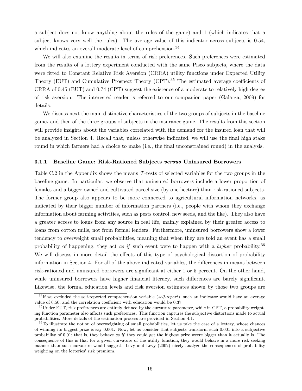a subject does not know anything about the rules of the game) and 1 (which indicates that a subject knows very well the rules). The average value of this indicator across subjects is 0.54, which indicates an overall moderate level of comprehension.<sup>34</sup>

We will also examine the results in terms of risk preferences. Such preferences were estimated from the results of a lottery experiment conducted with the same Pisco subjects, where the data were fitted to Constant Relative Risk Aversion (CRRA) utility functions under Expected Utility Theory (EUT) and Cumulative Prospect Theory (CPT).<sup>35</sup> The estimated average coefficients of CRRA of 0.45 (EUT) and 0.74 (CPT) suggest the existence of a moderate to relatively high degree of risk aversion. The interested reader is referred to our companion paper (Galarza, 2009) for details.

We discuss next the main distinctive characteristics of the two groups of subjects in the baseline game, and then of the three groups of subjects in the insurance game. The results from this section will provide insights about the variables correlated with the demand for the insured loan that will be analyzed in Section 4. Recall that, unless otherwise indicated, we will use the final high stake round in which farmers had a choice to make (i.e., the final unconstrained round) in the analysis.

#### **3.1.1** Baseline Game: Risk-Rationed Subjects versus Uninsured Borrowers

Table C.2 in the Appendix shows the means T-tests of selected variables for the two groups in the baseline game. In particular, we observe that uninsured borrowers include a lower proportion of females and a bigger owned and cultivated parcel size (by one hectare) than risk-rationed subjects. The former group also appears to be more connected to agricultural information networks, as indicated by their bigger number of information partners (i.e., people with whom they exchange information about farming activities, such as pests control, new seeds, and the like). They also have a greater access to loans from any source in real life, mainly explained by their greater access to loans from cotton mills, not from formal lenders. Furthermore, uninsured borrowers show a lower tendency to overweight small probabilities, meaning that when they are told an event has a small probability of happening, they act as if such event were to happen with a *higher* probability.<sup>36</sup> We will discuss in more detail the effects of this type of psychological distortion of probability information in Section 4. For all of the above indicated variables, the differences in means between risk-rationed and uninsured borrowers are significant at either 1 or 5 percent. On the other hand, while uninsured borrowers have higher financial literacy, such differences are barely significant. Likewise, the formal education levels and risk aversion estimates shown by those two groups are

 $34$ If we excluded the self-reported comprehension variable (self-report), such an indicator would have an average value of  $0.50$ , and the correlation coefficient with education would be  $0.37$ .

 $35$ Under EUT, risk preferences are entirely defined by the curvature parameter, while in CPT, a probability weighting function parameter also affects such preferences. This function captures the subjective distortions made to actual probabilities. More details of the estimation process are provided in Section 4.1.

 $36T<sub>0</sub>$  illustrate the notion of overweighting of small probabilities, let us take the case of a lottery, whose chances of winning its biggest prize is say 0.001. Now, let us consider that subjects transform such 0.001 into a subjective probability of 0.01; that is, they behave as if they could get the highest prize weere bigger than it actually is. The consequence of this is that for a given curvature of the utility function, they would behave in a more risk seeking manner than such curvature would suggest. Levy and Levy (2002) nicely analyze the consequences of probability weighting on the lotteries' risk premium.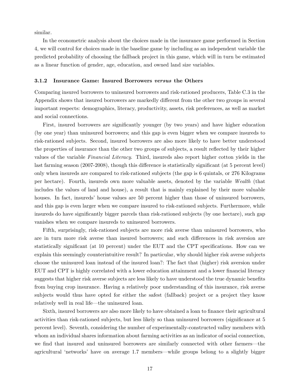similar.

In the econometric analysis about the choices made in the insurance game performed in Section 4, we will control for choices made in the baseline game by including as an independent variable the predicted probability of choosing the fallback project in this game, which will in turn be estimated as a linear function of gender, age, education, and owned land size variables.

#### 3.1.2 Insurance Game: Insured Borrowers versus the Others

Comparing insured borrowers to uninsured borrowers and risk-rationed producers, Table C.3 in the Appendix shows that insured borrowers are markedly different from the other two groups in several important respects: demographics, literacy, productivity, assets, risk preferences, as well as market and social connections.

First, insured borrowers are signicantly younger (by two years) and have higher education (by one year) than uninsured borrowers; and this gap is even bigger when we compare insureds to risk-rationed subjects. Second, insured borrowers are also more likely to have better understood the properties of insurance than the other two groups of subjects, a result reflected by their higher values of the variable Financial Literacy. Third, insureds also report higher cotton yields in the last farming season (2007-2008), though this difference is statistically significant (at 5 percent level) only when insureds are compared to risk-rationed subjects (the gap is 6 quintals, or 276 Kilograms per hectare). Fourth, insureds own more valuable assets, denoted by the variable Wealth (that includes the values of land and house), a result that is mainly explained by their more valuable houses. In fact, insureds' house values are 50 percent higher than those of uninsured borrowers, and this gap is even larger when we compare insured to risk-rationed subjects. Furthermore, while insureds do have signicantly bigger parcels than risk-rationed subjects (by one hectare), such gap vanishes when we compare insureds to uninsured borrowers.

Fifth, surprisingly, risk-rationed subjects are more risk averse than uninsured borrowers, who are in turn more risk averse than insured borrowers; and such differences in risk aversion are statistically signicant (at 10 percent) under the EUT and the CPT specications. How can we explain this seemingly counterintuitive result? In particular, why should higher risk averse subjects choose the uninsured loan instead of the insured loan?: The fact that (higher) risk aversion under EUT and CPT is highly correlated with a lower education attainment and a lower nancial literacy suggests that higher risk averse subjects are less likely to have understood the true dynamic benefits from buying crop insurance. Having a relatively poor understanding of this insurance, risk averse subjects would thus have opted for either the safest (fallback) project or a project they know relatively well in real life—the uninsured loan.

Sixth, insured borrowers are also more likely to have obtained a loan to finance their agricultural activities than risk-rationed subjects, but less likely so than uninsured borrowers (significance at 5 percent level). Seventh, considering the number of experimentally-constructed valley members with whom an individual shares information about farming activities as an indicator of social connection, we find that insured and uninsured borrowers are similarly connected with other farmers—the agricultural 'networks' have on average 1.7 members—while groups belong to a slightly bigger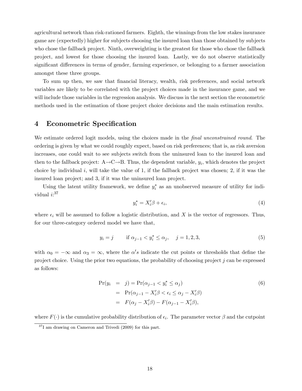agricultural network than risk-rationed farmers. Eighth, the winnings from the low stakes insurance game are (expectedly) higher for subjects choosing the insured loan than those obtained by subjects who chose the fallback project. Ninth, overweighting is the greatest for those who chose the fallback project, and lowest for those choosing the insured loan. Lastly, we do not observe statistically significant differences in terms of gender, farming experience, or belonging to a farmer association amongst these three groups.

To sum up then, we saw that financial literacy, wealth, risk preferences, and social network variables are likely to be correlated with the project choices made in the insurance game, and we will include those variables in the regression analysis. We discuss in the next section the econometric methods used in the estimation of those project choice decisions and the main estimation results.

## 4 Econometric Specification

We estimate ordered logit models, using the choices made in the *final unconstrained round*. The ordering is given by what we could roughly expect, based on risk preferences; that is, as risk aversion increases, one could wait to see subjects switch from the uninsured loan to the insured loan and then to the fallback project:  $A \rightarrow C \rightarrow B$ . Thus, the dependent variable,  $y_i$ , which denotes the project choice by individual i, will take the value of 1, if the fallback project was chosen; 2, if it was the insured loan project; and 3, if it was the uninsured loan project.

Using the latent utility framework, we define  $y_i^*$  as an unobserved measure of utility for individual  $i:$ <sup>37</sup>

$$
y_i^* = X_i'\beta + \epsilon_i,\tag{4}
$$

where  $\epsilon_i$  will be assumed to follow a logistic distribution, and X is the vector of regressors. Thus, for our three-category ordered model we have that,

$$
y_i = j
$$
 if  $\alpha_{j-1} < y_i^* \le \alpha_j$ ,  $j = 1, 2, 3$ , (5)

with  $\alpha_0 = -\infty$  and  $\alpha_3 = \infty$ , where the  $\alpha's$  indicate the cut points or thresholds that define the project choice. Using the prior two equations, the probability of choosing project  $j$  can be expressed as follows:

$$
\Pr(y_i = j) = \Pr(\alpha_{j-1} < y_i^* \leq \alpha_j) \\
= \Pr(\alpha_{j-1} - X_i'\beta < \epsilon_i \leq \alpha_j - X_i'\beta) \\
= F(\alpha_j - X_i'\beta) - F(\alpha_{j-1} - X_i'\beta),
$$
\n
$$
(6)
$$

where  $F(\cdot)$  is the cumulative probability distribution of  $\epsilon_i$ . The parameter vector  $\beta$  and the cutpoint

 $37I$  am drawing on Cameron and Trivedi (2009) for this part.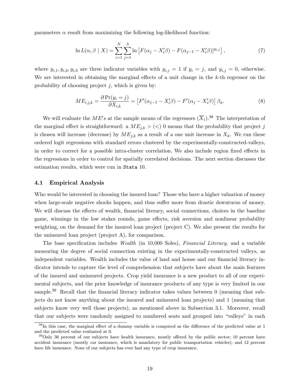parameters  $\alpha$  result from maximizing the following log-likelihood function:

$$
\ln L(\alpha, \beta \mid X) = \sum_{i=1}^{N} \sum_{j=1}^{3} \ln \left[ F(\alpha_j - X_i'\beta) - F(\alpha_{j-1} - X_i'\beta) \right]^{y_{i,j}}, \tag{7}
$$

where  $y_{i,1}, y_{i,2}, y_{i,3}$  are three indicator variables with  $y_{i,j} = 1$  if  $y_i = j$ , and  $y_{i,j} = 0$ , otherwise. We are interested in obtaining the marginal effects of a unit change in the  $k$ -th regressor on the probability of choosing project  $j$ , which is given by:

$$
ME_{i,j,k} = \frac{\partial \Pr(y_i = j)}{\partial X_{i,k}} = \left[ F'(\alpha_{j-1} - X_i'\beta) - F'(\alpha_j - X_i'\beta) \right] \beta_k.
$$
\n(8)

We will evaluate the  $ME's$  at the sample means of the regressors  $(\overline{X}_i)$ .<sup>38</sup> The interpretation of the marginal effect is straightforward: a  $ME_{j,k} > (<) 0$  means that the probability that project j is chosen will increase (decrease) by  $ME_{j,k}$  as a result of a one unit increase in  $X_k$ . We run these ordered logit regressions with standard errors clustered by the experimentally-constructed-valleys, in order to correct for a possible intra-cluster correlation. We also include region fixed effects in the regressions in order to control for spatially correlated decisions. The next section discusses the estimation results, which were run in Stata 10.

#### 4.1 Empirical Analysis

Who would be interested in choosing the insured loan? Those who have a higher valuation of money when large-scale negative shocks happen, and thus suffer more from drastic downturns of money. We will discuss the effects of wealth, financial literacy, social connections, choices in the baseline game, winnings in the low stakes rounds, game effects, risk aversion and nonlinear probability weighting, on the demand for the insured loan project (project C). We also present the results for the uninsured loan project (project A), for comparison.

The base specification includes *Wealth* (in 10,000 Soles), *Financial Literacy*, and a variable measuring the degree of social connection existing in the experimentally-constructed valleys, as independent variables. Wealth includes the value of land and house and our financial literacy indicator intends to capture the level of comprehension that subjects have about the main features of the insured and uninsured projects. Crop yield insurance is a new product to all of our experimental subjects, and the prior knowledge of insurance products of any type is very limited in our sample.<sup>39</sup> Recall that the financial literacy indicator takes values between  $0$  (meaning that subjects do not know anything about the insured and uninsured loan projects) and 1 (meaning that subjects know very well those projects), as mentioned above in Subsection 3.1. Moreover, recall that our subjects were randomly assigned to numbered seats and grouped into \valleys" in each

 $38$ In this case, the marginal effect of a dummy variable is computed as the difference of the predicted value at 1 and the predicted value evaluated at 0.

 $39$ Only 36 percent of our subjects have health insurance, mostly offered by the public sector; 10 percent have accident insurance (mostly car insurance, which is mandatory for public transportation vehicles); and 12 percent have life insurance. None of our subjects has ever had any type of crop insurance.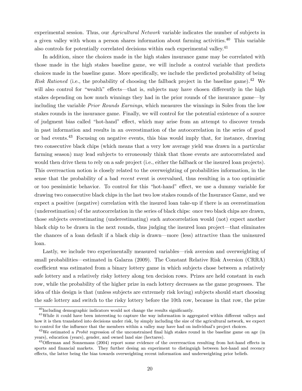experimental session. Thus, our Agricultural Network variable indicates the number of subjects in a given valley with whom a person shares information about farming activities.<sup>40</sup> This variable also controls for potentially correlated decisions within each experimental valley.<sup>41</sup>

In addition, since the choices made in the high stakes insurance game may be correlated with those made in the high stakes baseline game, we will include a control variable that predicts choices made in the baseline game. More specically, we include the predicted probability of being Risk Rationed (i.e., the probability of choosing the fallback project in the baseline game).<sup>42</sup> We will also control for "wealth" effects—that is, subjects may have chosen differently in the high stakes depending on how much winnings they had in the prior rounds of the insurance game—by including the variable Prior Rounds Earnings, which measures the winnings in Soles from the low stakes rounds in the insurance game. Finally, we will control for the potential existence of a source of judgment bias called "hot-hand" effect, which may arise from an attempt to discover trends in past information and results in an overestimation of the autocorrelation in the series of good or bad events.<sup>43</sup> Focusing on negative events, this bias would imply that, for instance, drawing two consecutive black chips (which means that a very low average yield was drawn in a particular farming season) may lead subjects to erroneously think that those events are autocorrelated and would then drive them to rely on a safe project (i.e., either the fallback or the insured loan projects). This overreaction notion is closely related to the overweighting of probabilities information, in the sense that the probability of a bad recent event is overvalued, thus resulting in a too optimistic or too pessimistic behavior. To control for this "hot-hand" effect, we use a dummy variable for drawing two consecutive black chips in the last two low stakes rounds of the Insurance Game, and we expect a positive (negative) correlation with the insured loan take-up if there is an overestimation (underestimation) of the autocorrelation in the series of black chips: once two black chips are drawn, those subjects overestimating (underestimating) such autocorrelation would (not) expect another black chip to be drawn in the next rounds, thus judging the insured loan project—that eliminates the chances of a loan default if a black chip is drawn—more (less) attractive than the uninsured loan.

Lastly, we include two experimentally measured variables—risk aversion and overweighting of small probabilities—estimated in Galarza (2009). The Constant Relative Risk Aversion (CRRA) coefficient was estimated from a binary lottery game in which subjects chose between a relatively safe lottery and a relatively risky lottery along ten decision rows. Prizes are held constant in each row, while the probability of the higher prize in each lottery decreases as the game progresses. The idea of this design is that (unless subjects are extremely risk loving) subjects should start choosing the safe lottery and switch to the risky lottery before the 10th row, because in that row, the prize

 $^{40}$ Including demographic indicators would not change the results significantly.

 $41$ While it could have been interesting to capture the way information is aggregated within different valleys and how it is then translated into decisions under risk, by simply including the size of the agricultural network, we expect to control for the influence that the members within a valley may have had on individual's project choices.

 $^{42}$ We estimated a *Probit* regression of the unconstrained final high stakes round in the baseline game on age (in years), education (years), gender, and owned land size (hectares).

 $^{43}$ Offerman and Sonnemans (2004) report some evidence of the overrreaction resulting from hot-hand effects in sports and nancial markets. They further desing an experiment to distinguigh between hot-hand and recency effects, the latter being the bias towards overweighting recent information and underweighting prior beliefs.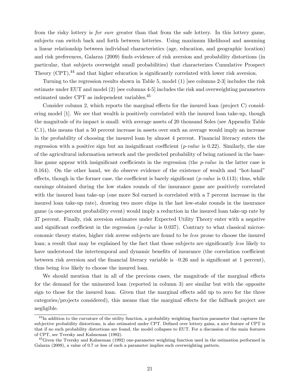from the risky lottery is for sure greater than that from the safe lottery. In this lottery game, subjects can switch back and forth between lotteries. Using maximum likelihood and assuming a linear relationship between individual characteristics (age, education, and geographic location) and risk preferences, Galarza (2009) finds evidence of risk aversion and probability distortions (in particular, that subjects overweight small probabilities) that characterizes Cumulative Prospect Theory  $(CPT)$ ,<sup>44</sup> and that higher education is significantly correlated with lower risk aversion.

Turning to the regression results shown in Table 5, model (1) [see columns 2-3] includes the risk estimate under EUT and model (2) [see columns 4-5] includes the risk and overweighting parameters estimated under CPT as independent variables.<sup>45</sup>

Consider column 2, which reports the marginal effects for the insured loan (project  $C$ ) considering model [1]. We see that wealth is positively correlated with the insured loan take-up, though the magnitude of its impact is small: with average assets of 20 thousand Soles (see Appendix Table C.1), this means that a 50 percent increase in assets over such an average would imply an increase in the probability of choosing the insured loan by almost 4 percent. Financial literacy enters the regression with a positive sign but an insignificant coefficient  $(p-value$  is 0.22). Similarly, the size of the agricultural information network and the predicted probability of being rationed in the baseline game appear with insignificant coefficients in the regression (the  $p-value$  in the latter case is  $0.164$ ). On the other hand, we do observe evidence of the existence of wealth and "hot-hand" effects, though in the former case, the coefficient is barely significant  $(p-value$  is 0.113); thus, while earnings obtained during the low stakes rounds of the insurance game are positively correlated with the insured loan take-up (one more Sol earned is correlated with a 7 percent increase in the insured loan take-up rate), drawing two more chips in the last low-stake rounds in the insurance game (a one-percent probability event) would imply a reduction in the insured loan take-up rate by 37 percent. Finally, risk aversion estimates under Expected Utility Theory enter with a negative and significant coefficient in the regression  $(p-value$  is 0.037). Contrary to what classical microeconomic theory states, higher risk averse subjects are found to be less prone to choose the insured loan; a result that may be explained by the fact that those subjects are significantly less likely to have understood the intertemporal and dynamic benefits of insurance (the correlation coefficient between risk aversion and the financial literacy variable is  $-0.26$  and is significant at 1 percent), thus being less likely to choose the insured loan.

We should mention that in all of the previous cases, the magnitude of the marginal effects for the demand for the uninsured loan (reported in column 3) are similar but with the opposite sign to those for the insured loan. Given that the marginal effects add up to zero for the three categories/projects considered), this means that the marginal effects for the fallback project are negligible.

 $^{44}$ In addition to the curvature of the utility function, a probability weighting function parameter that captures the subjective probability distortions, is also estimated under CPT. Defined over lottery gains, a nice feature of CPT is that if no such probability distortions are found, the model collapses to EUT. For a discussion of the main features of CPT, see Tversky and Kahneman (1992).

<sup>&</sup>lt;sup>45</sup>Given the Tversky and Kahneman (1992) one-parameter weighting function used in the estimation performed in Galarza (2009), a value of 0.7 or less of such a parameter implies such overweighting pattern.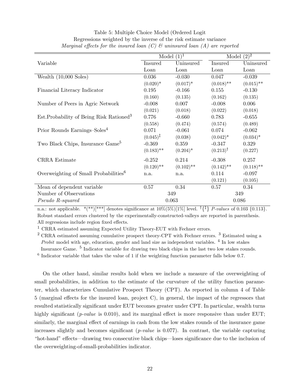|                                                      |                      | Model $(1)^1$ |                     | Model $(2)^2$ |
|------------------------------------------------------|----------------------|---------------|---------------------|---------------|
| Variable                                             | Insured              | Uninsured     | Insured             | Uninsured     |
|                                                      | Loan                 | Loan          | Loan                | Loan          |
| Wealth $(10,000 Soles)$                              | 0.036                | $-0.030$      | 0.047               | $-0.039$      |
|                                                      | $(0.020)*$           | $(0.017)^*$   | $(0.018)$ **        | $(0.015)$ **  |
| Financial Literacy Indicator                         | 0.195                | $-0.166$      | 0.155               | $-0.130$      |
|                                                      | (0.160)              | (0.135)       | (0.162)             | (0.135)       |
| Number of Peers in Agric Network                     | $-0.008$             | 0.007         | $-0.008$            | 0.006         |
|                                                      | (0.021)              | (0.018)       | (0.022)             | (0.018)       |
| Est. Probability of Being Risk Rationed <sup>3</sup> | 0.776                | $-0.660$      | 0.783               | $-0.655$      |
|                                                      | (0.558)              | (0.474)       | (0.574)             | (0.489)       |
| Prior Rounds Earnings-Soles <sup>4</sup>             | 0.071                | $-0.061$      | 0.074               | $-0.062$      |
|                                                      | $(0.045)^{\ddagger}$ | (0.038)       | $(0.042)^*$         | $(0.034)^*$   |
| Two Black Chips, Insurance Game <sup>5</sup>         | $-0.369$             | 0.359         | $-0.347$            | 0.329         |
|                                                      | $(0.183)$ **         | $(0.204)^*$   | $(0.213)^{\dagger}$ | (0.227)       |
| CRRA Estimate                                        | $-0.252$             | 0.214         | $-0.308$            | 0.257         |
|                                                      | $(0.120)$ **         | $(0.102)$ **  | $(0.142)$ **        | $(0.118)$ **  |
| Overweighting of Small Probabilities <sup>6</sup>    | n.a.                 | n.a.          | 0.114               | $-0.097$      |
|                                                      |                      |               | (0.121)             | (0.105)       |
| Mean of dependent variable                           | 0.57                 | 0.34          | 0.57                | 0.34          |
| Number of Observations                               |                      | 349           |                     | 349           |
| Pseudo R-squared                                     |                      | 0.063         |                     | 0.086         |

### Table 5: Multiple Choice Model (Ordered Logit Regressions weighted by the inverse of the risk estimate variance Marginal effects for the insured loan  $(C)$   $\mathcal C$  uninsured loan  $(A)$  are reported

n.a.: not applicable.  $*(**)[**]$  denotes significance at  $10\%(5\%)[1\%]$  level.  $\{\{\}$  *P-values* of 0.103  $\{0.113\}$ . Robust standard errors clustered by the experimentally-constructed-valleys are reported in parenthesis. All regressions include region fixed effects.

<sup>1</sup> CRRA estimated assuming Expected Utility Theory-EUT with Fechner errors.

 $^{2}$  CRRA estimated assuming cumulative prospect theory-CPT with Fechner errors.  $^{3}$  Estimated using a Probit model with age, education, gender and land size as independent variables. <sup>4</sup> In low stakes

Insurance Game. <sup>5</sup> Indicator variable for drawing two black chips in the last two low stakes rounds.

<sup>6</sup> Indicator variable that takes the value of 1 if the weighting function parameter falls below 0.7.

On the other hand, similar results hold when we include a measure of the overweighting of small probabilities, in addition to the estimate of the curvature of the utility function parameter, which characterizes Cumulative Prospect Theory (CPT). As reported in column 4 of Table  $5 \text{ (marginal effects for the insured loan, project C), in general, the impact of the regressors that }$ resulted statistically signicant under EUT becomes greater under CPT. In particular, wealth turns highly significant (*p-value* is 0.010), and its marginal effect is more responsive than under EUT; similarly, the marginal effect of earnings in cash from the low stakes rounds of the insurance game increases slightly and becomes significant  $(p-value$  is 0.077). In contrast, the variable capturing "hot-hand" effects—drawing two consecutive black chips—loses significance due to the inclusion of the overweighting-of-small-probabilities indicator.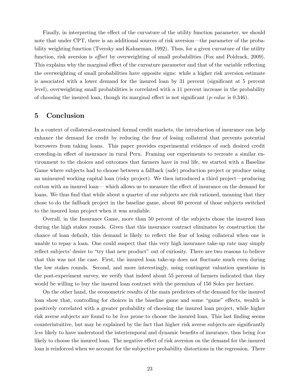Finally, in interpreting the effect of the curvature of the utility function parameter, we should note that under CPT, there is an additional sources of risk aversion—the parameter of the probability weighting function (Tversky and Kahneman, 1992). Thus, for a given curvature of the utility function, risk aversion is *offset* by overweighting of small probabilities (Fox and Poldrack, 2009). This explains why the marginal effect of the curvature parameter and that of the variable reflecting the overweighting of small probabilities have opposite signs: while a higher risk aversion estimate is associated with a lower demand for the insured loan by 31 percent (signicant at 5 percent level), overweighting small probabilities is correlated with a 11 percent increase in the probability of choosing the insured loan, though its marginal effect is not significant  $(p-value$  is 0.346).

### 5 Conclusion

In a context of collateral-constrained formal credit markets, the introduction of insurance can help enhance the demand for credit by reducing the fear of losing collateral that prevents potential borrowers from taking loans. This paper provides experimental evidence of such desired credit crowding-in effect of insurance in rural Peru. Framing our experiments to recreate a similar environment to the choices and outcomes that farmers have in real life, we started with a Baseline Game where subjects had to choose between a fallback (safe) production project or produce using an uninsured working capital loan (risky project). We then introduced a third project—producing cotton with an insured loan— which allows us to measure the effect of insurance on the demand for loans. We thus find that while about a quarter of our subjects are risk rationed, meaning that they chose to do the fallback project in the baseline game, about 60 percent of those subjects switched to the insured loan project when it was available.

Overall, in the Insurance Game, more than 50 percent of the subjects chose the insured loan during the high stakes rounds. Given that this insurance contract eliminates by construction the chance of loan default, this demand is likely to reflect the fear of losing collateral when one is unable to repay a loan. One could suspect that this very high insurance take-up rate may simply reflect subjects' desire to "try that new product" out of curiosity. There are two reasons to believe that this was not the case. First, the insured loan take-up does not fluctuate much even during the low stakes rounds. Second, and more interestingly, using contingent valuation questions in the post-experiment survey, we verify that indeed about 55 percent of farmers indicated that they would be willing to buy the insured loan contract with the premium of 150 Soles per hectare.

On the other hand, the econometric results of the main predictors of the demand for the insured loan show that, controlling for choices in the baseline game and some "game" effects, wealth is positively correlated with a greater probability of choosing the insured loan project, while higher risk averse subjects are found to be *less* prone to choose the insured loan. This last finding seems counterintuitive, but may be explained by the fact that higher risk averse subjects are signicantly less likely to have understood the intertemporal and dynamic benefits of insurance, thus being less likely to choose the insured loan. The negative effect of risk aversion on the demand for the insured loan is reinforced when we account for the subjective probability distortions in the regression. There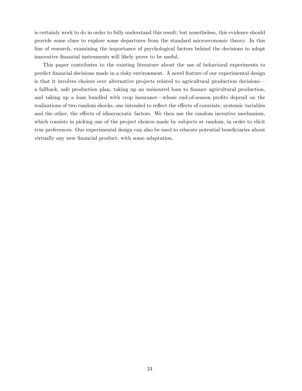is certainly work to do in order to fully understand this result; but nonetheless, this evidence should provide some clues to explore some departures from the standard microeconomic theory. In this line of research, examining the importance of psychological factors behind the decisions to adopt innovative financial instruments will likely prove to be useful.

This paper contributes to the existing literature about the use of behavioral experiments to predict financial decisions made in a risky environment. A novel feature of our experimental design is that it involves choices over alternative projects related to agricultural production decisions a fallback, safe production plan, taking up an uninsured loan to finance agricultural production, and taking up a loan bundled with crop insurance—whose end-of-season profits depend on the realizations of two random shocks, one intended to reflect the effects of covariate, systemic variables and the other, the effects of idiosyncratic factors. We then use the random incentive mechanism, which consists in picking one of the project choices made by subjects at random, in order to elicit true preferences. Our experimental design can also be used to educate potential beneficiaries about virtually any new financial product, with some adaptation.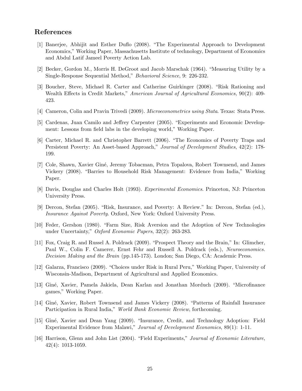## References

- [1] Banerjee, Abhijit and Esther Duflo (2008). "The Experimental Approach to Development Economics," Working Paper, Massachusetts Institute of technology, Department of Economics and Abdul Latif Jameel Poverty Action Lab.
- [2] Becker, Gordon M., Morris H. DeGroot and Jacob Marschak  $(1964)$ . "Measuring Utility by a Single-Response Sequential Method," Behavioral Science, 9: 226-232.
- [3] Boucher, Steve, Michael R. Carter and Catherine Guirkinger (2008). "Risk Rationing and Wealth Effects in Credit Markets," American Journal of Agricultural Economics, 90(2): 409-423.
- [4] Cameron, Colin and Pravin Trivedi (2009). Microeconometrics using Stata. Texas: Stata Press.
- [5] Cardenas, Juan Camilo and Jeffrey Carpenter (2005). "Experiments and Economic Development: Lessons from field labs in the developing world," Working Paper.
- [6] Carter, Michael R. and Christopher Barrett (2006). \The Economics of Poverty Traps and Persistent Poverty: An Asset-based Approach," Journal of Development Studies, 42(2): 178- 199.
- [7] Cole, Shawn, Xavier Gine, Jeremy Tobacman, Petra Topalova, Robert Townsend, and James Vickery (2008). "Barries to Household Risk Management: Evidence from India," Working Paper.
- [8] Davis, Douglas and Charles Holt (1993). Experimental Economics. Princeton, NJ: Princeton University Press.
- [9] Dercon, Stefan (2005). "Risk, Insurance, and Poverty: A Review." In: Dercon, Stefan (ed.), Insurance Against Poverty. Oxford, New York: Oxford University Press.
- [10] Feder, Gershon (1980). \Farm Size, Risk Aversion and the Adoption of New Technologies under Uncertainty," Oxford Economic Papers, 32(2): 263-283.
- [11] Fox, Craig R. and Russel A. Poldrack (2009). "Prospect Theory and the Brain," In: Glimcher, Paul W., Colin F. Camerer, Ernst Fehr and Russell A. Poldrack (eds.), Neuroeconomics. Decision Making and the Brain (pp.145-173). London; San Diego, CA: Academic Press.
- [12] Galarza, Francisco (2009). "Choices under Risk in Rural Peru," Working Paper, University of Wisconsin-Madison, Department of Agricultural and Applied Economics.
- [13] Giné, Xavier, Pamela Jakiela, Dean Karlan and Jonathan Morduch (2009). "Microfinance games," Working Paper.
- [14] Giné, Xavier, Robert Townsend and James Vickery (2008). "Patterns of Rainfall Insurance Participation in Rural India," World Bank Economic Review, forthcoming.
- [15] Giné, Xavier and Dean Yang (2009). "Insurance, Credit, and Technology Adoption: Field Experimental Evidence from Malawi," Journal of Development Economics, 89(1): 1-11.
- [16] Harrison, Glenn and John List (2004). \Field Experiments," Journal of Economic Literature, 42(4): 1013-1059.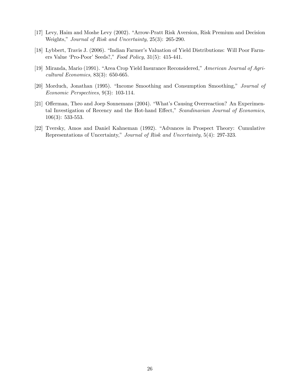- [17] Levy, Haim and Moshe Levy (2002). "Arrow-Pratt Risk Aversion, Risk Premium and Decision Weights," Journal of Risk and Uncertainty, 25(3): 265-290.
- [18] Lybbert, Travis J. (2006). \Indian Farmer's Valuation of Yield Distributions: Will Poor Farmers Value `Pro-Poor' Seeds?," Food Policy, 31(5): 415-441.
- [19] Miranda, Mario (1991). "Area Crop Yield Insurance Reconsidered," American Journal of Agricultural Economics, 83(3): 650-665.
- [20] Morduch, Jonathan (1995). "Income Smoothing and Consumption Smoothing," Journal of Economic Perspectives, 9(3): 103-114.
- [21] Offerman, Theo and Joep Sonnemans (2004). "What's Causing Overreaction? An Experimental Investigation of Recency and the Hot-hand Effect," Scandinavian Journal of Economics, 106(3): 533-553.
- [22] Tversky, Amos and Daniel Kahneman (1992). "Advances in Prospect Theory: Cumulative Representations of Uncertainty," Journal of Risk and Uncertainty, 5(4): 297-323.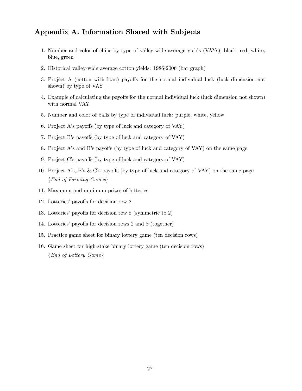## Appendix A. Information Shared with Subjects

- 1. Number and color of chips by type of valley-wide average yields (VAYs): black, red, white, blue, green
- 2. Historical valley-wide average cotton yields: 1986-2006 (bar graph)
- 3. Project A (cotton with loan) payoffs for the normal individual luck (luck dimension not shown) by type of VAY
- 4. Example of calculating the payoffs for the normal individual luck (luck dimension not shown) with normal VAY
- 5. Number and color of balls by type of individual luck: purple, white, yellow
- 6. Project A's payoffs (by type of luck and category of VAY)
- 7. Project B's payoffs (by type of luck and category of VAY)
- 8. Project A's and B's payoffs (by type of luck and category of VAY) on the same page
- 9. Project C's payoffs (by type of luck and category of VAY)
- 10. Project A's, B's  $\&$  C's payoffs (by type of luck and category of VAY) on the same page  ${End of Farming Games}$
- 11. Maximum and minimum prizes of lotteries
- 12. Lotteries' payoffs for decision row 2
- 13. Lotteries' payoffs for decision row  $8$  (symmetric to 2)
- 14. Lotteries' payoffs for decision rows 2 and 8 (together)
- 15. Practice game sheet for binary lottery game (ten decision rows)
- 16. Game sheet for high-stake binary lottery game (ten decision rows)  ${End of Lottery \ Game}$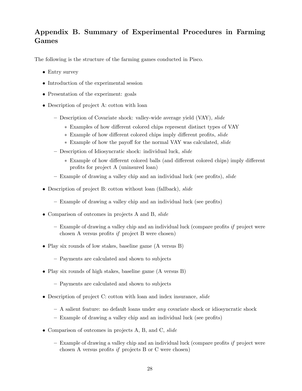# Appendix B. Summary of Experimental Procedures in Farming Games

The following is the structure of the farming games conducted in Pisco.

- Entry survey
- Introduction of the experimental session
- Presentation of the experiment: goals
- Description of project A: cotton with loan
	- Description of Covariate shock: valley-wide average yield (VAY), slide
		- \* Examples of how different colored chips represent distinct types of VAY
		- \* Example of how different colored chips imply different profits, slide
		- \* Example of how the payoff for the normal VAY was calculated, slide
	- Description of Idiosyncratic shock: individual luck, slide
		- \* Example of how different colored balls (and different colored chips) imply different profits for project A (uninsured loan)
	- $-$  Example of drawing a valley chip and an individual luck (see profits), slide
- Description of project B: cotton without loan (fallback), *slide* 
	- Example of drawing a valley chip and an individual luck (see profits)
- Comparison of outcomes in projects A and B, slide
	- ${\sf E}$  Example of drawing a valley chip and an individual luck (compare profits if project were chosen A versus profits if project B were chosen)
- Play six rounds of low stakes, baseline game (A versus B)
	- Payments are calculated and shown to subjects
- Play six rounds of high stakes, baseline game (A versus B)
	- { Payments are calculated and shown to subjects
- Description of project C: cotton with loan and index insurance, slide
	- $-$  A salient feature: no default loans under any covariate shock or idiosyncratic shock
	- Example of drawing a valley chip and an individual luck (see profits)
- Comparison of outcomes in projects A, B, and C, slide
	- $-$  Example of drawing a valley chip and an individual luck (compare profits if project were chosen A versus profits if projects  $B$  or  $C$  were chosen)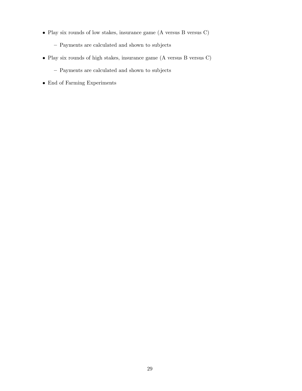- Play six rounds of low stakes, insurance game (A versus B versus C)
	- Payments are calculated and shown to subjects
- Play six rounds of high stakes, insurance game (A versus B versus C)
	- Payments are calculated and shown to subjects
- End of Farming Experiments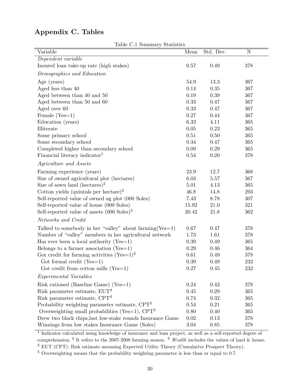# Appendix C. Tables

Table C.1 Summary Statistics

| Variable                                                           | Mean     | Std. Dev. | N   |
|--------------------------------------------------------------------|----------|-----------|-----|
| Dependent variable                                                 |          |           |     |
| Insured loan take-up rate (high stakes)                            | 0.57     | 0.49      | 378 |
| Demographics and Education                                         |          |           |     |
| Age (years)                                                        | 54.9     | 13.3      | 367 |
| Aged less than 40                                                  | 0.14     | 0.35      | 367 |
| Aged between than $40$ and $50\,$                                  | 0.19     | 0.39      | 367 |
| Aged between than 50 and 60                                        | 0.33     | 0.47      | 367 |
| Aged over 60                                                       | 0.33     | 0.47      | 367 |
| Female $(Yes=1)$                                                   | 0.27     | 0.44      | 367 |
| Education (years)                                                  | 6.33     | 4.11      | 365 |
| Illiterate                                                         | $0.05\,$ | 0.23      | 365 |
| Some primary school                                                | $0.51\,$ | 0.50      | 365 |
| Some secondary school                                              | 0.34     | 0.47      | 365 |
| Completed higher than secondary school                             | 0.09     | 0.29      | 365 |
| Financial literacy indicator <sup>1</sup>                          | 0.54     | 0.20      | 378 |
| Agriculture and Assets                                             |          |           |     |
| Farming experience (years)                                         | 23.9     | 12.7      | 368 |
| Size of owned agricultural plot (hectares)                         | 6.03     | 5.57      | 367 |
| Size of sown land (hectares) <sup>2</sup>                          | $5.01\,$ | 4.13      | 365 |
| Cotton yields (quintals per hectare) <sup>2</sup>                  | 46.8     | 14.8      | 293 |
| Self-reported value of owned ag plot (000 Soles)                   | 7.43     | 8.78      | 307 |
| Self-reported value of house (000 Soles)                           | 15.92    | 21.0      | 321 |
| Self-reported value of assets $(000 \text{ Soles})^3$              | 20.42    | 21.8      | 362 |
| Networks and Credit                                                |          |           |     |
| Talked to somebody in her "valley" about $\{A\}$ about $\{Xes=1\}$ | 0.67     | 0.47      | 378 |
| Number of "valley" members in her agricultural network             | 1.73     | 1.61      | 378 |
| Has ever been a local authority ( $Yes=1$ )                        | 0.39     | 0.49      | 365 |
| Belongs to a farmer association (Yes=1)                            | 0.29     | 0.46      | 364 |
| Got credit for farming activities $(Yes=1)^2$                      | 0.61     | 0.49      | 378 |
| Got formal credit $(Yes=1)$                                        | 0.39     | 0.49      | 232 |
| Got credit from cotton mills $(Yes=1)$                             | $0.27\,$ | 0.45      | 232 |
| Experimental Variables                                             |          |           |     |
| Risk rationed (Baseline Game) (Yes=1)                              | 0.24     | 0.43      | 378 |
| Risk parameter estimate, $EUT4$                                    | 0.45     | 0.29      | 365 |
| Risk parameter estimate, $CPT4$                                    | 0.74     | 0.32      | 365 |
| Probability weighting parameter estimate, $CPT5$                   | $0.54\,$ | 0.21      | 365 |
| Overweighting small probabilities (Yes=1), $CPT5$                  | 0.80     | 0.40      | 365 |
| Drew two black chips, last low-stake rounds Insurance Game         | 0.02     | 0.13      | 378 |
| Winnings from low stakes Insurance Game (Soles)                    | $3.04\,$ | 0.85      | 378 |

<sup>1</sup> Indicator calculated using knowledge of insurance and loan project, as well as a self-reported degree of comprehension. <sup>2</sup> It refers to the 2007-2008 farming season. <sup>3</sup> Wealth includes the values of land & house. <sup>4</sup> EUT (CPT): Risk estimate assuming Expected Utility Theory (Cumulative Prospect Theory).

<sup>5</sup> Overweighting means that the probability weighting parameter is less than or equal to 0.7.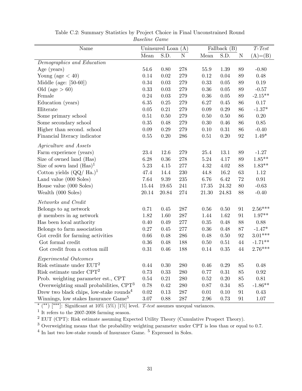| Name                                                |          | Uninsured Loan | (A)          |          | Fallback $(B)$ |                   | $T-Test$   |
|-----------------------------------------------------|----------|----------------|--------------|----------|----------------|-------------------|------------|
|                                                     | Mean     | S.D.           | ${\bf N}$    | Mean     | S.D.           | $\mathbf N$       | $(A)= (B)$ |
| Demographics and Education                          |          |                |              |          |                |                   |            |
| Age (years)                                         | 54.6     | 0.80           | 278          | 55.9     | 1.39           | 89                | $-0.80$    |
| Young (age $< 40$ )                                 | 0.14     | $0.02\,$       | 279          | $0.12\,$ | 0.04           | 89                | 0.48       |
| Middle (age: $[50-60]$ )                            | 0.34     | 0.03           | 279          | 0.33     | 0.05           | 89                | $0.19\,$   |
| Old (age $> 60$ )                                   | 0.33     | $0.03\,$       | 279          | $0.36\,$ | 0.05           | 89                | $-0.57$    |
| Female                                              | 0.24     | $0.03\,$       | 279          | $0.36\,$ | 0.05           | $89\,$            | $-2.15**$  |
| Education (years)                                   | 6.35     | $0.25\,$       | 279          | 6.27     | 0.45           | 86                | 0.17       |
| Illiterate                                          | 0.05     | 0.21           | 279          | 0.09     | $0.29\,$       | 86                | $-1.37*$   |
| Some primary school                                 | 0.51     | $0.50\,$       | 279          | 0.50     | $0.50\,$       | 86                | 0.20       |
| Some secondary school                               | 0.35     | 0.48           | 279          | $0.30\,$ | 0.46           | 86                | 0.85       |
| Higher than second. school                          | 0.09     | 0.29           | 279          | 0.10     | 0.31           | 86                | $-0.40$    |
| Financial literacy indicator                        | 0.55     | 0.20           | 286          | $0.51\,$ | $0.20\,$       | $\boldsymbol{92}$ | $1.49*$    |
| <i>Agriculture and Assets</i>                       |          |                |              |          |                |                   |            |
| Farm experience (years)                             | 23.4     | 12.6           | 279          | 25.4     | 13.1           | 89                | $-1.27$    |
| Size of owned land (Has)                            | 6.28     | $0.36\,$       | 278          | $5.24\,$ | 4.17           | 89                | $1.85***$  |
| Size of sown land $(Has)^1$                         | 5.23     | $4.15\,$       | $277\,$      | 4.32     | 4.02           | 88                | $1.83**$   |
| Cotton yields $(QQ/Ha.)1$                           | 47.4     | 14.4           | 230          | 44.8     | 16.2           | 63                | 1.12       |
| Land value (000 Soles)                              | 7.64     | $9.39\,$       | $\,235$      | 6.76     | 6.42           | $72\,$            | $0.91\,$   |
| House value (000 Soles)                             | 15.44    | 19.65          | 241          | 17.35    | 24.32          | 80                | $-0.63$    |
| Wealth (000 Soles)                                  | 20.14    | 20.84          | $\sqrt{274}$ | 21.30    | 24.83          | 88                | $-0.40$    |
| Networks and Credit                                 |          |                |              |          |                |                   |            |
| Belongs to ag network                               | 0.71     | 0.45           | 287          | 0.56     | 0.50           | 91                | $2.56***$  |
| $#$ members in ag network                           | 1.82     | 1.60           | 287          | 1.44     | 1.62           | 91                | $1.97**$   |
| Has been local authority                            | 0.40     | 0.49           | 277          | $0.35\,$ | 0.48           | 88                | $0.88\,$   |
| Belongs to farm association                         | 0.27     | 0.45           | 277          | $0.36\,$ | 0.48           | 87                | $-1.47*$   |
| Got credit for farming activities                   | 0.66     | 0.48           | 286          | 0.48     | 0.50           | 92                | $3.01***$  |
| Got formal credit                                   | 0.36     | 0.48           | 188          | 0.50     | 0.51           | $44\,$            | $-1.71**$  |
| Got credit from a cotton mill                       | $0.31\,$ | 0.46           | 188          | 0.14     | 0.35           | $44\,$            | $2.76***$  |
|                                                     |          |                |              |          |                |                   |            |
| Experimental Outcomes                               |          |                |              |          |                |                   |            |
| Risk estimate under ${\rm EUT^2}$                   | 0.44     | 0.30           | <b>280</b>   | 0.46     | 0.29           | 85                | 0.48       |
| Risk estimate under CPT <sup>2</sup>                | 0.73     | 0.33           | 280          | 0.77     | 0.31           | 85                | 0.92       |
| Prob. weighting parameter est., CPT                 | 0.54     | 0.21           | 280          | 0.52     | 0.20           | 85                | 0.81       |
| Overweighting small probabilities, $CPT3$           | 0.78     | 0.42           | 280          | 0.87     | 0.34           | 85                | $-1.86**$  |
| Drew two black chips, low-stake rounds <sup>4</sup> | 0.02     | 0.13           | 287          | 0.01     | 0.10           | 91                | 0.43       |
| Winnings, low stakes Insurance Game <sup>5</sup>    | 3.07     | 0.88           | 287          | $2.96\,$ | 0.73           | 91                | $1.07\,$   |

Table C.2: Summary Statistics by Project Choice in Final Unconstrained Round Baseline Game

<sup>\*</sup> (\*\*) [\*\*\*]: Significant at  $10\%$  (5%) [1%] level. *T-test* assumes unequal variances.

<sup>1</sup> It refers to the 2007-2008 farming season.

<sup>2</sup> EUT (CPT): Risk estimate assuming Expected Utility Theory (Cumulative Prospect Theory).

<sup>3</sup> Overweighting means that the probability weighting parameter under CPT is less than or equal to 0.7.

 $^4$  In last two low-stake rounds of Insurance Game.  $^5$  Expressed in Soles.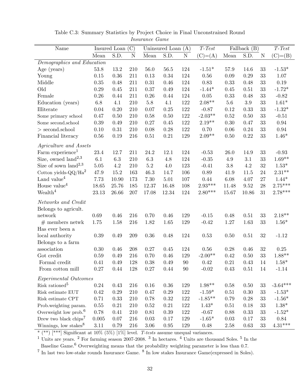| Name                                                                                               |                       | Insured Loan $(C)$   |                   |                          | Uninsured Loan $(A)$         |                       | $T-Test$                    |                          | Fallback $(B)$             |                            | $T-Test$                      |
|----------------------------------------------------------------------------------------------------|-----------------------|----------------------|-------------------|--------------------------|------------------------------|-----------------------|-----------------------------|--------------------------|----------------------------|----------------------------|-------------------------------|
|                                                                                                    | Mean                  | S.D.                 | ${\bf N}$         | Mean                     | S.D.                         | $\mathbf N$           | $(C)= (A)$                  | Mean                     | S.D.                       | N                          | $(C)= (B)$                    |
| Demographics and Education                                                                         |                       |                      |                   |                          |                              |                       |                             |                          |                            |                            |                               |
| Age (years)                                                                                        | 53.8                  | 13.2                 | 210               | 56.0                     | $56.5\,$                     | 124                   | $-1.51*$                    | $57.9\,$                 | 14.6                       | $33\,$                     | $-1.53*$                      |
| Young                                                                                              | 0.15                  | 0.36                 | 211               | $0.13\,$                 | 0.34                         | 124                   | 0.56                        | 0.09                     | 0.29                       | $33\,$                     | 1.07                          |
| Middle                                                                                             | $0.35\,$              | 0.48                 | 211               | 0.31                     | 0.46                         | 124                   | 0.83                        | 0.33                     | 0.48                       | $33\,$                     | $0.19\,$                      |
| Old                                                                                                | 0.29                  | 0.45                 | 211               | 0.37                     | 0.49                         | 124                   | $-1.44*$                    | 0.45                     | 0.51                       | 33                         | $-1.72*$                      |
| Female                                                                                             | 0.26                  | 0.44                 | 211               | 0.26                     | 0.44                         | 124                   | 0.05                        | 0.33                     | 0.48                       | 33                         | $-0.82$                       |
| Education (years)                                                                                  | 6.8                   | 4.1                  | 210               | $5.8\,$                  | 4.1                          | 122                   | $2.08**$                    | $5.6\,$                  | $3.9\,$                    | $33\,$                     | $1.61^{\ast}$                 |
| Illiterate                                                                                         | 0.04                  | 0.20                 | 210               | 0.07                     | 0.25                         | 122                   | $-0.87$                     | 0.12                     | 0.33                       | $33\,$                     | $-1.32*$                      |
| Some primary school                                                                                | 0.47                  | 0.50                 | 210               | 0.58                     | 0.50                         | 122                   | $-2.03**$                   | 0.52                     | 0.50                       | 33                         | $-0.51$                       |
| Some second.school                                                                                 | 0.39                  | 0.49                 | $210\,$           | 0.27                     | 0.45                         | 122                   | $2.19**$                    | 0.30                     | 0.47                       | $33\,$                     | 0.94                          |
| $>$ second.school                                                                                  | 0.10                  | 0.31                 | 210               | 0.08                     | 0.28                         | 122                   | 0.70                        | 0.06                     | 0.24                       | $33\,$                     | 0.94                          |
| Financial literacy                                                                                 | $0.56\,$              | 0.19                 | 216               | 0.51                     | 0.21                         | 129                   | $2.09**$                    | $0.50\,$                 | 0.22                       | $33\,$                     | $1.46*$                       |
| Agriculture and Assets                                                                             |                       |                      |                   |                          |                              |                       |                             |                          |                            |                            |                               |
| Farm experience <sup>1</sup>                                                                       | $23.4\,$              | 12.7                 | 211               | 24.2                     | 12.1                         | 124                   | $-0.53$                     | 26.0                     | 14.9                       | $33\,$                     | $-0.93$                       |
| Size, owned $land2,3$                                                                              | 6.1                   | 6.3                  | 210               | 6.3                      | 4.8                          | 124                   | $-0.35$                     | $4.9\,$                  | 3.1                        | 33                         | $1.69**$                      |
| Size of sown land <sup>2,3</sup>                                                                   | $5.05\,$              | 4.2                  | 210               | $5.2\,$                  | 4.0                          | 123                   | $-0.41$                     | $3.8\,$                  | 4.2                        | 32                         | $1.53*$                       |
| Cotton yields- $QQ/Ha^2$                                                                           | 47.9                  | 15.2                 | 163               | 46.3                     | 14.7                         | 106                   | 0.89                        | 41.9                     | 11.5                       | 24                         | $2.31**$                      |
| Land value <sup>4</sup>                                                                            | 7.73                  | 10.90                | 173               | 7.30                     | 5.01                         | 107                   | 0.44                        | 6.08                     | 4.07                       | 27                         | $1.44*$                       |
| House value <sup>4</sup>                                                                           | 18.65                 | 25.76                | 185               | 12.37                    | 16.48                        | 108                   | $2.93***$                   | 11.48                    | 9.52                       | ${\bf 28}$                 | $2.75***$                     |
| Wealth <sup>4</sup>                                                                                | 23.13                 | 26.66                | 207               | 17.08                    | 12.34                        | 124                   | $2.80***$                   | 15.67                    | 10.86                      | $31\,$                     | $2.78***$                     |
| Networks and Credit                                                                                |                       |                      |                   |                          |                              |                       |                             |                          |                            |                            |                               |
| Belongs to agricult.                                                                               |                       |                      |                   |                          |                              |                       |                             |                          |                            |                            |                               |
| network                                                                                            | 0.69                  | 0.46                 | 216               | 0.70                     | 0.46                         | 129                   | $-0.15$                     | 0.48                     | 0.51                       | 33                         | $2.18**$                      |
| $#$ members netwk                                                                                  | 1.75                  | 1.58                 | 216               | 1.82                     | 1.65                         | 129                   | $-0.42$                     | $1.27\,$                 | 1.63                       | 33                         | $1.56*$                       |
| Has ever been a                                                                                    |                       |                      |                   |                          |                              |                       |                             |                          |                            |                            |                               |
| local authority                                                                                    | 0.39                  | 0.49                 | 209               | $0.36\,$                 | 0.48                         | 124                   | 0.53                        | 0.50                     | 0.51                       | $32\,$                     | $-1.12$                       |
| Belongs to a farm                                                                                  |                       |                      |                   |                          |                              |                       |                             |                          |                            |                            |                               |
| association                                                                                        | 0.30                  | 0.46                 | 208               | 0.27                     | 0.45                         | 124                   | 0.56                        | 0.28                     | 0.46                       | 32                         | 0.25                          |
| Got credit                                                                                         | 0.59                  | 0.49                 | 216               | 0.70                     | 0.46                         | 129                   | $-2.00**$                   | 0.42                     | 0.50                       | $33\,$                     | $1.88**$                      |
| Formal credit                                                                                      | 0.41                  | 0.49                 | 128               | 0.38                     | 0.49                         | 90                    | 0.42                        | 0.21                     | 0.43                       | 14                         | $1.58*$                       |
| From cotton mill                                                                                   | 0.27                  | 0.44                 | 128               | 0.27                     | 0.44                         | $90\,$                | $-0.02$                     | 0.43                     | $0.51\,$                   | 14                         | $-1.14$                       |
| Experimental Outcomes                                                                              |                       |                      |                   |                          |                              |                       |                             |                          |                            |                            |                               |
| Risk rationed <sup>5</sup>                                                                         | 0.24                  | 0.43                 | 216               | 0.16                     | 0.36                         | 129                   | $1.98**$                    | 0.58                     | 0.50                       | $33\,$                     | $-3.64***$                    |
| Risk estimate EUT                                                                                  | 0.42                  | 0.29                 | 210               | 0.47                     | $0.29\,$                     | $122\,$               | $-1.59*$                    | 0.51                     | 0.30                       | $33\,$                     | $-1.53*$                      |
| Risk estimate CPT                                                                                  | 0.71                  | 0.33                 | 210               | 0.78                     | $0.32\,$                     | $122\,$               | $-1.85**$                   | 0.79                     | 0.28                       | $33\,$                     | $-1.56*$                      |
| Prob.weighting param.                                                                              | $0.55\,$              | 0.21                 | 210               | 0.52                     | 0.21                         | 122                   | $1.43*$                     | 0.51                     | 0.18                       | 33                         | $1.38*$                       |
|                                                                                                    |                       |                      |                   |                          |                              |                       |                             |                          |                            |                            |                               |
|                                                                                                    |                       |                      |                   |                          |                              |                       |                             |                          |                            |                            |                               |
|                                                                                                    |                       |                      |                   |                          |                              |                       |                             |                          |                            |                            |                               |
| Overweight low prob. $6$<br>Drew two black chips <sup>7</sup><br>Winnings, low stakes <sup>8</sup> | 0.78<br>0.005<br>3.11 | 0.41<br>0.07<br>0.79 | 210<br>216<br>216 | 0.81<br>$0.03\,$<br>3.06 | $0.39\,$<br>0.17<br>$0.95\,$ | 122<br>$129\,$<br>129 | $-0.67$<br>$-1.65*$<br>0.48 | 0.88<br>0.03<br>$2.58\,$ | 0.33<br>0.17<br>$\,0.63\,$ | $33\,$<br>$33\,$<br>$33\,$ | $-1.52*$<br>0.84<br>$4.31***$ |

Table C.3: Summary Statistics by Project Choice in Final Unconstrained Round Insurance Game

\*  $(**)$   $[***]$  Significant at 10% (5%) [1%] level. T-tests assume unequal variances.

<sup>1</sup> Units are years. <sup>2</sup> For farming season 2007-2008. <sup>3</sup> In hectares. <sup>4</sup> Units are thousand Soles. <sup>5</sup> In the

Baseline Game.<sup>6</sup> Overweighting means that the probability weighting parameter is less than 0.7.<br><sup>7</sup> In last two low-stake rounds Insurance Game. <sup>8</sup> In low stakes Insurance Game(expressed in Soles).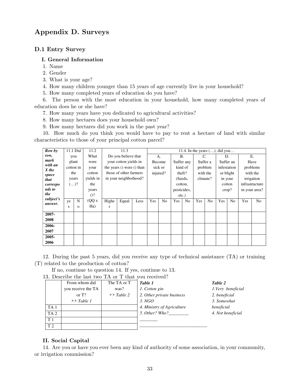## Appendix D. Surveys

## D.1 Entry Survey

#### I. General Information

- 1. Name
- 2. Gender
- 3. What is your age?
- 4. How many children younger than 15 years of age currently live in your household?
- 5. How many completed years of education do you have?

6. The person with the most education in your household, how many completed years of education does he or she have?

- 7. How many years have you dedicated to agricultural activities?
- 8. How many hectares does your household own?
- 9. How many hectares did you work in the past year?

10. How much do you think you would have to pay to rent a hectare of land with similar characteristics to those of your principal cotton parcel?

| Row by        |        | 11.1 Did  | 11.2      |              | 11.3                          |      |     |                |             |                |          |                | 11.4. In the years $(\ldots)$ , did you |                |     |                |
|---------------|--------|-----------|-----------|--------------|-------------------------------|------|-----|----------------|-------------|----------------|----------|----------------|-----------------------------------------|----------------|-----|----------------|
| row,          |        | you       | What      |              | Do you believe that           |      |     | A.             | <b>B.</b>   |                | C.       |                | D.                                      |                |     | Ε.             |
| mark          | plant  |           | were      |              | your cotton yields in         |      |     | Become         | Suffer any  |                | Suffer a |                |                                         | Suffer an      |     | Have           |
| with an       |        | cotton in | your      |              | the years $()$ were $()$ than |      |     | sick or        |             | kind of        | problem  |                |                                         | infestation    |     | problems       |
| X the         |        | the       | cotton    |              | those of other farmers        |      |     | injured?       | theft?      |                |          | with the       |                                         | or blight      |     | with the       |
| space<br>that |        | years     | vields in |              | in your neighborhood?         |      |     |                |             | (Seeds,        | climate? |                | in your                                 |                |     | irrigation     |
| correspo      | $()^?$ |           | the       |              |                               |      |     |                | cotton,     |                |          |                |                                         | cotton         |     | infrastructure |
| nds to        |        |           | years     |              |                               |      |     |                | pesticides, |                |          |                | $\text{crop?}$                          |                |     | in your area?  |
| the           |        |           | $()$ ?    |              |                               |      |     |                | $etc.$ )    |                |          |                |                                         |                |     |                |
| subject's     | ye     | N         | (QQ x)    | Highe        | Equal                         | Less | Yes | N <sub>o</sub> | Yes         | N <sub>o</sub> | Yes      | N <sub>0</sub> | Yes                                     | N <sub>o</sub> | Yes | N <sub>o</sub> |
| answer.       | s      | $\Omega$  | Ha)       | $\mathbf{r}$ |                               |      |     |                |             |                |          |                |                                         |                |     |                |
| 2007-<br>2008 |        |           |           |              |                               |      |     |                |             |                |          |                |                                         |                |     |                |
| 2006-         |        |           |           |              |                               |      |     |                |             |                |          |                |                                         |                |     |                |
| 2007          |        |           |           |              |                               |      |     |                |             |                |          |                |                                         |                |     |                |
| 2005-         |        |           |           |              |                               |      |     |                |             |                |          |                |                                         |                |     |                |
| 2006          |        |           |           |              |                               |      |     |                |             |                |          |                |                                         |                |     |                |

12. During the past 5 years, did you receive any type of technical assistance (TA) or training (T) related to the production of cotton?

If no, continue to question 14. If yes, continue to 13.

13. Describe the last two TA or T that you received?

|                 | From whom did         | The TA or T           | Table 1                    | Table 2            |
|-----------------|-----------------------|-----------------------|----------------------------|--------------------|
|                 | you receive the TA    | was?                  | 1. Cotton gin              | 1. Very beneficial |
|                 | or $T$ ?              | $\rightarrow$ Table 2 | 2. Other private business  | 2. beneficial      |
|                 | $\rightarrow$ Table 1 |                       | 3. NGO                     | 3. Somewhat        |
| TA <sub>1</sub> |                       |                       | 4. Ministry of Agriculture | beneficial         |
| TA <sub>2</sub> |                       |                       | 5. Other? Who?             | 4. Not beneficial  |
| T1              |                       |                       |                            |                    |
| T <sub>2</sub>  |                       |                       |                            |                    |

### II. Social Capital

14. Are you or have you ever been any kind of authority of some association, in your community, or irrigation commission?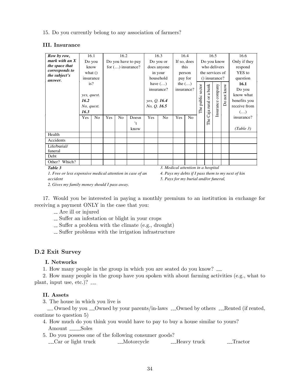15. Do you currently belong to any association of farmers?

### III. Insurance

| Row by row,                                               |             | 16.1       |                    | 16.2                |       |              | 16.3                               |             | 16.4           |                 |                  | 16.5    |              | 16.6                                              |
|-----------------------------------------------------------|-------------|------------|--------------------|---------------------|-------|--------------|------------------------------------|-------------|----------------|-----------------|------------------|---------|--------------|---------------------------------------------------|
| mark with an $X$                                          | Do you      |            | Do you have to pay |                     |       | Do you or    |                                    | If so, does |                | Do you know     |                  |         | Only if they |                                                   |
| the space that                                            |             | know       |                    | for $()$ insurance? |       | does anyone  |                                    | this        |                | who delivers    |                  |         |              | respond                                           |
| corresponds to<br>the subject's                           | what $()$   |            |                    |                     |       | in your      |                                    | person      |                | the services of |                  |         | YES to       |                                                   |
| answer.                                                   | insurance   |            |                    |                     |       | household    |                                    | pay for     |                | () insurance?   |                  |         | question     |                                                   |
|                                                           |             | is?        |                    |                     |       |              | have $(\ldots)$                    |             | the $(\ldots)$ |                 |                  |         | 16.1         |                                                   |
|                                                           |             |            |                    |                     |       | insurance?   |                                    | insurance?  |                |                 | sector<br>a bank | company | Do not know  | Do you                                            |
|                                                           | yes, quest. |            |                    |                     |       |              |                                    |             |                |                 |                  |         |              | know what                                         |
|                                                           | 16.2        |            |                    |                     |       | yes, Q. 16.4 |                                    |             |                | public          |                  |         |              | benefits you                                      |
|                                                           |             | No, quest. |                    |                     |       |              | No, Q. 16.5                        |             |                |                 | The              |         |              | receive from                                      |
|                                                           | 16.3        |            |                    |                     |       |              |                                    |             |                | Caja rural or   | Insurance        |         | $(\ldots)$   |                                                   |
|                                                           | Yes         | No         | Yes                | N <sub>0</sub>      | Doesn | Yes          | No                                 | Yes         | No.            |                 |                  |         |              | insurance?                                        |
|                                                           |             |            |                    |                     | 't    |              |                                    |             |                |                 | The              |         |              |                                                   |
|                                                           |             |            |                    |                     | know  |              |                                    |             |                |                 |                  |         |              | (Table 3)                                         |
| Health                                                    |             |            |                    |                     |       |              |                                    |             |                |                 |                  |         |              |                                                   |
| Accidents                                                 |             |            |                    |                     |       |              |                                    |             |                |                 |                  |         |              |                                                   |
| Life/burial/                                              |             |            |                    |                     |       |              |                                    |             |                |                 |                  |         |              |                                                   |
| funeral                                                   |             |            |                    |                     |       |              |                                    |             |                |                 |                  |         |              |                                                   |
| Debt                                                      |             |            |                    |                     |       |              |                                    |             |                |                 |                  |         |              |                                                   |
| Other? Which?                                             |             |            |                    |                     |       |              |                                    |             |                |                 |                  |         |              |                                                   |
| Table 3                                                   |             |            |                    |                     |       |              | 3. Medical attention in a hospital |             |                |                 |                  |         |              |                                                   |
| 1. Free or less expensive medical attention in case of an |             |            |                    |                     |       |              |                                    |             |                |                 |                  |         |              | 4. Pays my debts if I pass them to my next of kin |

*accident*

*5. Pays for my burial and/or funeral,*

*2. Gives my family money should I pass away.*

17. Would you be interested in paying a monthly premium to an institution in exchange for receiving a payment ONLY in the case that you:

- Are ill or injured
- ... Suffer an infestation or blight in your crops
- $\_\_$  Suffer a problem with the climate (e.g., drought)
- $\sim$  Suffer problems with the irrigation infrastructure

## D.2 Exit Survey

## I. Networks

1. How many people in the group in which you are seated do you know?

2. How many people in the group have you spoken with about farming activities (e.g., what to plant, input use, etc.)?

## II. Assets

3. The house in which you live is

 $\ldots$  Owned by you  $\ldots$  Owned by your parents/in-laws  $\ldots$  Owned by others  $\ldots$  Rented (if rented, continue to question 5)

- 4. How much do you think you would have to pay to buy a house similar to yours? Amount \_\_\_\_\_\_Soles
- 5. Do you possess one of the following consumer goods?
	- \_\_Car or light truck \_\_\_\_Motorcycle \_\_\_\_Heavy truck \_\_\_\_Tractor